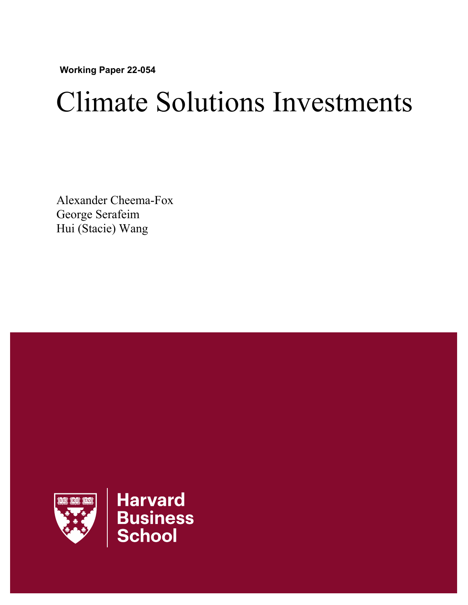**Working Paper 22-054** 

# Climate Solutions Investments

Alexander Cheema-Fox George Serafeim Hui (Stacie) Wang

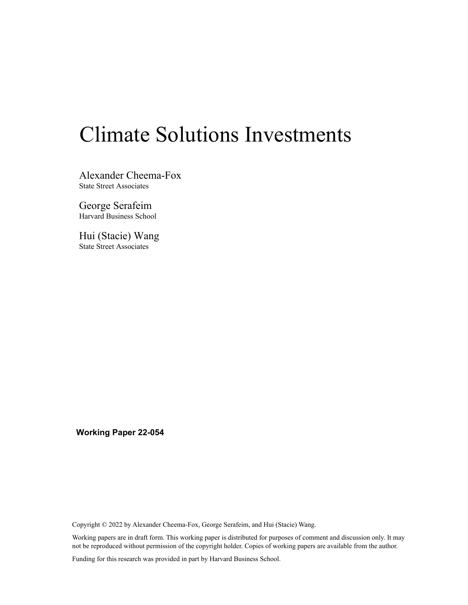## Climate Solutions Investments

Alexander Cheema-Fox State Street Associates

George Serafeim Harvard Business School

Hui (Stacie) Wang State Street Associates

**Working Paper 22-054** 

Copyright © 2022 by Alexander Cheema-Fox, George Serafeim, and Hui (Stacie) Wang.

Working papers are in draft form. This working paper is distributed for purposes of comment and discussion only. It may not be reproduced without permission of the copyright holder. Copies of working papers are available from the author.

Funding for this research was provided in part by Harvard Business School.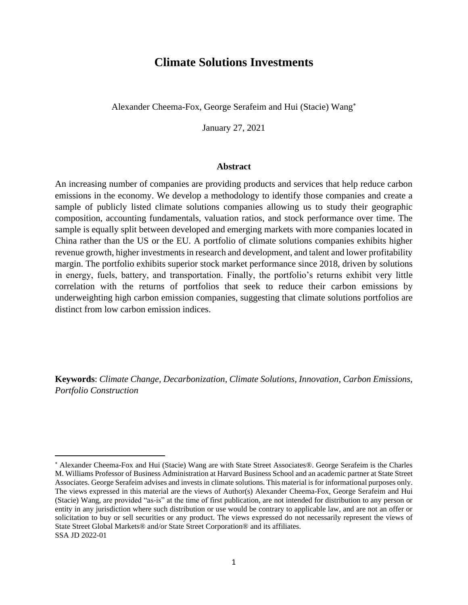## **Climate Solutions Investments**

Alexander Cheema-Fox, George Serafeim and Hui (Stacie) Wang

January 27, 2021

#### **Abstract**

An increasing number of companies are providing products and services that help reduce carbon emissions in the economy. We develop a methodology to identify those companies and create a sample of publicly listed climate solutions companies allowing us to study their geographic composition, accounting fundamentals, valuation ratios, and stock performance over time. The sample is equally split between developed and emerging markets with more companies located in China rather than the US or the EU. A portfolio of climate solutions companies exhibits higher revenue growth, higher investments in research and development, and talent and lower profitability margin. The portfolio exhibits superior stock market performance since 2018, driven by solutions in energy, fuels, battery, and transportation. Finally, the portfolio's returns exhibit very little correlation with the returns of portfolios that seek to reduce their carbon emissions by underweighting high carbon emission companies, suggesting that climate solutions portfolios are distinct from low carbon emission indices.

**Keywords**: *Climate Change, Decarbonization, Climate Solutions, Innovation, Carbon Emissions, Portfolio Construction*

Alexander Cheema-Fox and Hui (Stacie) Wang are with State Street Associates®. George Serafeim is the Charles M. Williams Professor of Business Administration at Harvard Business School and an academic partner at State Street Associates. George Serafeim advises and invests in climate solutions. This material is for informational purposes only. The views expressed in this material are the views of Author(s) Alexander Cheema-Fox, George Serafeim and Hui (Stacie) Wang, are provided "as-is" at the time of first publication, are not intended for distribution to any person or entity in any jurisdiction where such distribution or use would be contrary to applicable law, and are not an offer or solicitation to buy or sell securities or any product. The views expressed do not necessarily represent the views of State Street Global Markets® and/or State Street Corporation® and its affiliates. SSA JD 2022-01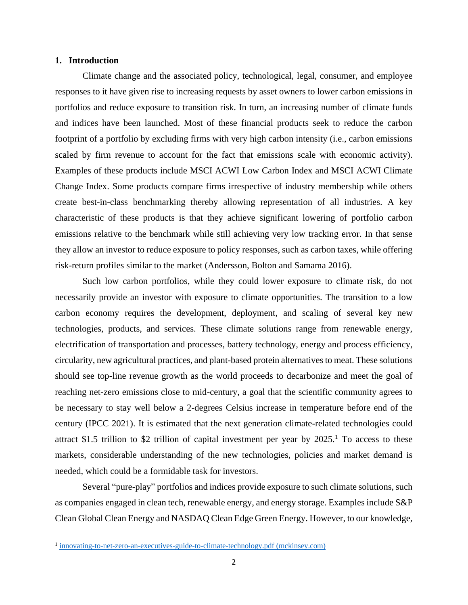#### **1. Introduction**

Climate change and the associated policy, technological, legal, consumer, and employee responses to it have given rise to increasing requests by asset owners to lower carbon emissions in portfolios and reduce exposure to transition risk. In turn, an increasing number of climate funds and indices have been launched. Most of these financial products seek to reduce the carbon footprint of a portfolio by excluding firms with very high carbon intensity (i.e., carbon emissions scaled by firm revenue to account for the fact that emissions scale with economic activity). Examples of these products include MSCI ACWI Low Carbon Index and MSCI ACWI Climate Change Index. Some products compare firms irrespective of industry membership while others create best-in-class benchmarking thereby allowing representation of all industries. A key characteristic of these products is that they achieve significant lowering of portfolio carbon emissions relative to the benchmark while still achieving very low tracking error. In that sense they allow an investor to reduce exposure to policy responses, such as carbon taxes, while offering risk-return profiles similar to the market (Andersson, Bolton and Samama 2016).

Such low carbon portfolios, while they could lower exposure to climate risk, do not necessarily provide an investor with exposure to climate opportunities. The transition to a low carbon economy requires the development, deployment, and scaling of several key new technologies, products, and services. These climate solutions range from renewable energy, electrification of transportation and processes, battery technology, energy and process efficiency, circularity, new agricultural practices, and plant-based protein alternatives to meat. These solutions should see top-line revenue growth as the world proceeds to decarbonize and meet the goal of reaching net-zero emissions close to mid-century, a goal that the scientific community agrees to be necessary to stay well below a 2-degrees Celsius increase in temperature before end of the century (IPCC 2021). It is estimated that the next generation climate-related technologies could attract \$1.5 trillion to \$2 trillion of capital investment per year by  $2025<sup>1</sup>$ . To access to these markets, considerable understanding of the new technologies, policies and market demand is needed, which could be a formidable task for investors.

Several "pure-play" portfolios and indices provide exposure to such climate solutions, such as companies engaged in clean tech, renewable energy, and energy storage. Examples include S&P Clean Global Clean Energy and NASDAQ Clean Edge Green Energy. However, to our knowledge,

<sup>&</sup>lt;sup>1</sup> [innovating-to-net-zero-an-executives-guide-to-climate-technology.pdf \(mckinsey.com\)](https://www.mckinsey.com/~/media/mckinsey/business%20functions/sustainability/our%20insights/innovating%20to%20net%20zero%20an%20executives%20guide%20to%20climate%20technology/innovating-to-net-zero-an-executives-guide-to-climate-technology.pdf?shouldIndex=false)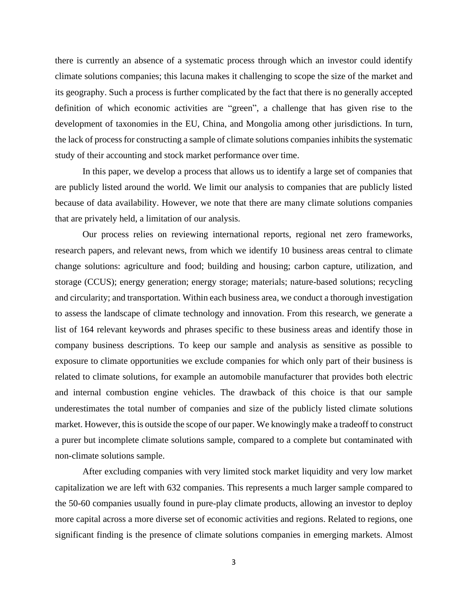there is currently an absence of a systematic process through which an investor could identify climate solutions companies; this lacuna makes it challenging to scope the size of the market and its geography. Such a process is further complicated by the fact that there is no generally accepted definition of which economic activities are "green", a challenge that has given rise to the development of taxonomies in the EU, China, and Mongolia among other jurisdictions. In turn, the lack of process for constructing a sample of climate solutions companies inhibits the systematic study of their accounting and stock market performance over time.

In this paper, we develop a process that allows us to identify a large set of companies that are publicly listed around the world. We limit our analysis to companies that are publicly listed because of data availability. However, we note that there are many climate solutions companies that are privately held, a limitation of our analysis.

Our process relies on reviewing international reports, regional net zero frameworks, research papers, and relevant news, from which we identify 10 business areas central to climate change solutions: agriculture and food; building and housing; carbon capture, utilization, and storage (CCUS); energy generation; energy storage; materials; nature-based solutions; recycling and circularity; and transportation. Within each business area, we conduct a thorough investigation to assess the landscape of climate technology and innovation. From this research, we generate a list of 164 relevant keywords and phrases specific to these business areas and identify those in company business descriptions. To keep our sample and analysis as sensitive as possible to exposure to climate opportunities we exclude companies for which only part of their business is related to climate solutions, for example an automobile manufacturer that provides both electric and internal combustion engine vehicles. The drawback of this choice is that our sample underestimates the total number of companies and size of the publicly listed climate solutions market. However, this is outside the scope of our paper. We knowingly make a tradeoff to construct a purer but incomplete climate solutions sample, compared to a complete but contaminated with non-climate solutions sample.

After excluding companies with very limited stock market liquidity and very low market capitalization we are left with 632 companies. This represents a much larger sample compared to the 50-60 companies usually found in pure-play climate products, allowing an investor to deploy more capital across a more diverse set of economic activities and regions. Related to regions, one significant finding is the presence of climate solutions companies in emerging markets. Almost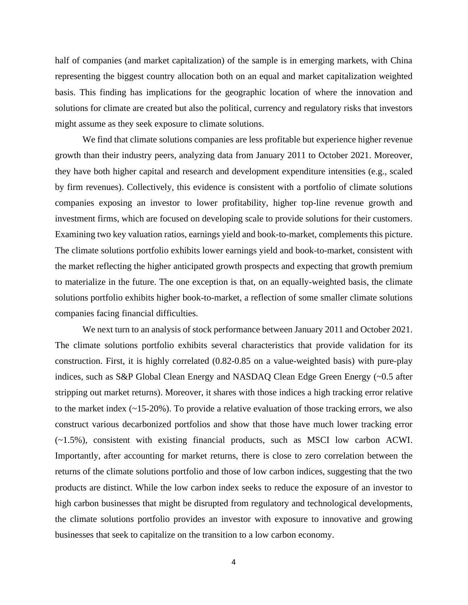half of companies (and market capitalization) of the sample is in emerging markets, with China representing the biggest country allocation both on an equal and market capitalization weighted basis. This finding has implications for the geographic location of where the innovation and solutions for climate are created but also the political, currency and regulatory risks that investors might assume as they seek exposure to climate solutions.

We find that climate solutions companies are less profitable but experience higher revenue growth than their industry peers, analyzing data from January 2011 to October 2021. Moreover, they have both higher capital and research and development expenditure intensities (e.g., scaled by firm revenues). Collectively, this evidence is consistent with a portfolio of climate solutions companies exposing an investor to lower profitability, higher top-line revenue growth and investment firms, which are focused on developing scale to provide solutions for their customers. Examining two key valuation ratios, earnings yield and book-to-market, complements this picture. The climate solutions portfolio exhibits lower earnings yield and book-to-market, consistent with the market reflecting the higher anticipated growth prospects and expecting that growth premium to materialize in the future. The one exception is that, on an equally-weighted basis, the climate solutions portfolio exhibits higher book-to-market, a reflection of some smaller climate solutions companies facing financial difficulties.

We next turn to an analysis of stock performance between January 2011 and October 2021. The climate solutions portfolio exhibits several characteristics that provide validation for its construction. First, it is highly correlated (0.82-0.85 on a value-weighted basis) with pure-play indices, such as S&P Global Clean Energy and NASDAQ Clean Edge Green Energy (~0.5 after stripping out market returns). Moreover, it shares with those indices a high tracking error relative to the market index (~15-20%). To provide a relative evaluation of those tracking errors, we also construct various decarbonized portfolios and show that those have much lower tracking error (~1.5%), consistent with existing financial products, such as MSCI low carbon ACWI. Importantly, after accounting for market returns, there is close to zero correlation between the returns of the climate solutions portfolio and those of low carbon indices, suggesting that the two products are distinct. While the low carbon index seeks to reduce the exposure of an investor to high carbon businesses that might be disrupted from regulatory and technological developments, the climate solutions portfolio provides an investor with exposure to innovative and growing businesses that seek to capitalize on the transition to a low carbon economy.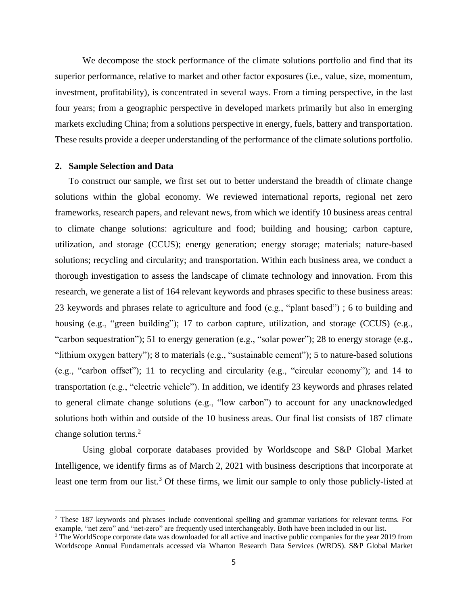We decompose the stock performance of the climate solutions portfolio and find that its superior performance, relative to market and other factor exposures (i.e., value, size, momentum, investment, profitability), is concentrated in several ways. From a timing perspective, in the last four years; from a geographic perspective in developed markets primarily but also in emerging markets excluding China; from a solutions perspective in energy, fuels, battery and transportation. These results provide a deeper understanding of the performance of the climate solutions portfolio.

#### **2. Sample Selection and Data**

To construct our sample, we first set out to better understand the breadth of climate change solutions within the global economy. We reviewed international reports, regional net zero frameworks, research papers, and relevant news, from which we identify 10 business areas central to climate change solutions: agriculture and food; building and housing; carbon capture, utilization, and storage (CCUS); energy generation; energy storage; materials; nature-based solutions; recycling and circularity; and transportation. Within each business area, we conduct a thorough investigation to assess the landscape of climate technology and innovation. From this research, we generate a list of 164 relevant keywords and phrases specific to these business areas: 23 keywords and phrases relate to agriculture and food (e.g., "plant based") ; 6 to building and housing (e.g., "green building"); 17 to carbon capture, utilization, and storage (CCUS) (e.g., "carbon sequestration"); 51 to energy generation (e.g., "solar power"); 28 to energy storage (e.g., "lithium oxygen battery"); 8 to materials (e.g., "sustainable cement"); 5 to nature-based solutions (e.g., "carbon offset"); 11 to recycling and circularity (e.g., "circular economy"); and 14 to transportation (e.g., "electric vehicle"). In addition, we identify 23 keywords and phrases related to general climate change solutions (e.g., "low carbon") to account for any unacknowledged solutions both within and outside of the 10 business areas. Our final list consists of 187 climate change solution terms.<sup>2</sup>

Using global corporate databases provided by Worldscope and S&P Global Market Intelligence, we identify firms as of March 2, 2021 with business descriptions that incorporate at least one term from our list.<sup>3</sup> Of these firms, we limit our sample to only those publicly-listed at

<sup>2</sup> These 187 keywords and phrases include conventional spelling and grammar variations for relevant terms. For example, "net zero" and "net-zero" are frequently used interchangeably. Both have been included in our list.

<sup>&</sup>lt;sup>3</sup> The WorldScope corporate data was downloaded for all active and inactive public companies for the year 2019 from Worldscope Annual Fundamentals accessed via Wharton Research Data Services (WRDS). S&P Global Market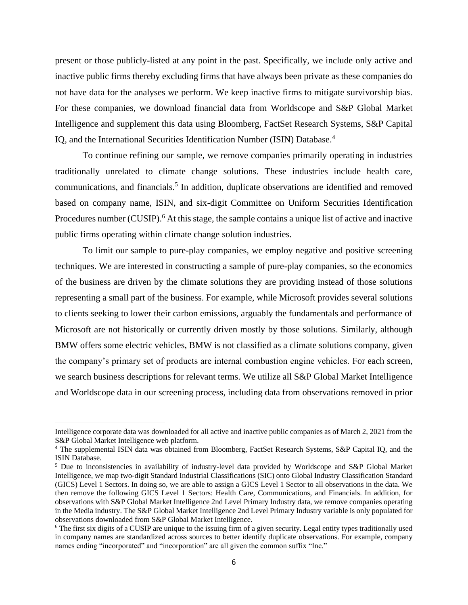present or those publicly-listed at any point in the past. Specifically, we include only active and inactive public firms thereby excluding firms that have always been private as these companies do not have data for the analyses we perform. We keep inactive firms to mitigate survivorship bias. For these companies, we download financial data from Worldscope and S&P Global Market Intelligence and supplement this data using Bloomberg, FactSet Research Systems, S&P Capital IQ, and the International Securities Identification Number (ISIN) Database.<sup>4</sup>

To continue refining our sample, we remove companies primarily operating in industries traditionally unrelated to climate change solutions. These industries include health care, communications, and financials.<sup>5</sup> In addition, duplicate observations are identified and removed based on company name, ISIN, and six-digit Committee on Uniform Securities Identification Procedures number (CUSIP).<sup>6</sup> At this stage, the sample contains a unique list of active and inactive public firms operating within climate change solution industries.

To limit our sample to pure-play companies, we employ negative and positive screening techniques. We are interested in constructing a sample of pure-play companies, so the economics of the business are driven by the climate solutions they are providing instead of those solutions representing a small part of the business. For example, while Microsoft provides several solutions to clients seeking to lower their carbon emissions, arguably the fundamentals and performance of Microsoft are not historically or currently driven mostly by those solutions. Similarly, although BMW offers some electric vehicles, BMW is not classified as a climate solutions company, given the company's primary set of products are internal combustion engine vehicles. For each screen, we search business descriptions for relevant terms. We utilize all S&P Global Market Intelligence and Worldscope data in our screening process, including data from observations removed in prior

Intelligence corporate data was downloaded for all active and inactive public companies as of March 2, 2021 from the S&P Global Market Intelligence web platform.

<sup>4</sup> The supplemental ISIN data was obtained from Bloomberg, FactSet Research Systems, S&P Capital IQ, and the ISIN Database.

<sup>5</sup> Due to inconsistencies in availability of industry-level data provided by Worldscope and S&P Global Market Intelligence, we map two-digit Standard Industrial Classifications (SIC) onto Global Industry Classification Standard (GICS) Level 1 Sectors. In doing so, we are able to assign a GICS Level 1 Sector to all observations in the data. We then remove the following GICS Level 1 Sectors: Health Care, Communications, and Financials. In addition, for observations with S&P Global Market Intelligence 2nd Level Primary Industry data, we remove companies operating in the Media industry. The S&P Global Market Intelligence 2nd Level Primary Industry variable is only populated for observations downloaded from S&P Global Market Intelligence.

<sup>&</sup>lt;sup>6</sup> The first six digits of a CUSIP are unique to the issuing firm of a given security. Legal entity types traditionally used in company names are standardized across sources to better identify duplicate observations. For example, company names ending "incorporated" and "incorporation" are all given the common suffix "Inc."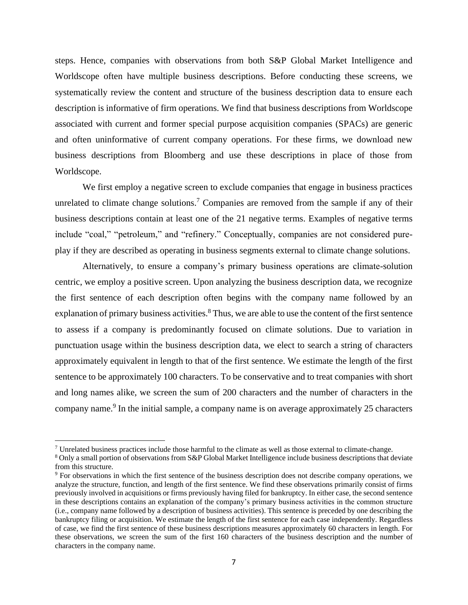steps. Hence, companies with observations from both S&P Global Market Intelligence and Worldscope often have multiple business descriptions. Before conducting these screens, we systematically review the content and structure of the business description data to ensure each description is informative of firm operations. We find that business descriptions from Worldscope associated with current and former special purpose acquisition companies (SPACs) are generic and often uninformative of current company operations. For these firms, we download new business descriptions from Bloomberg and use these descriptions in place of those from Worldscope.

We first employ a negative screen to exclude companies that engage in business practices unrelated to climate change solutions.<sup>7</sup> Companies are removed from the sample if any of their business descriptions contain at least one of the 21 negative terms. Examples of negative terms include "coal," "petroleum," and "refinery." Conceptually, companies are not considered pureplay if they are described as operating in business segments external to climate change solutions.

Alternatively, to ensure a company's primary business operations are climate-solution centric, we employ a positive screen. Upon analyzing the business description data, we recognize the first sentence of each description often begins with the company name followed by an explanation of primary business activities.<sup>8</sup> Thus, we are able to use the content of the first sentence to assess if a company is predominantly focused on climate solutions. Due to variation in punctuation usage within the business description data, we elect to search a string of characters approximately equivalent in length to that of the first sentence. We estimate the length of the first sentence to be approximately 100 characters. To be conservative and to treat companies with short and long names alike, we screen the sum of 200 characters and the number of characters in the company name.<sup>9</sup> In the initial sample, a company name is on average approximately 25 characters

<sup>7</sup> Unrelated business practices include those harmful to the climate as well as those external to climate-change.

<sup>8</sup> Only a small portion of observations from S&P Global Market Intelligence include business descriptions that deviate from this structure.

<sup>9</sup> For observations in which the first sentence of the business description does not describe company operations, we analyze the structure, function, and length of the first sentence. We find these observations primarily consist of firms previously involved in acquisitions or firms previously having filed for bankruptcy. In either case, the second sentence in these descriptions contains an explanation of the company's primary business activities in the common structure (i.e., company name followed by a description of business activities). This sentence is preceded by one describing the bankruptcy filing or acquisition. We estimate the length of the first sentence for each case independently. Regardless of case, we find the first sentence of these business descriptions measures approximately 60 characters in length. For these observations, we screen the sum of the first 160 characters of the business description and the number of characters in the company name.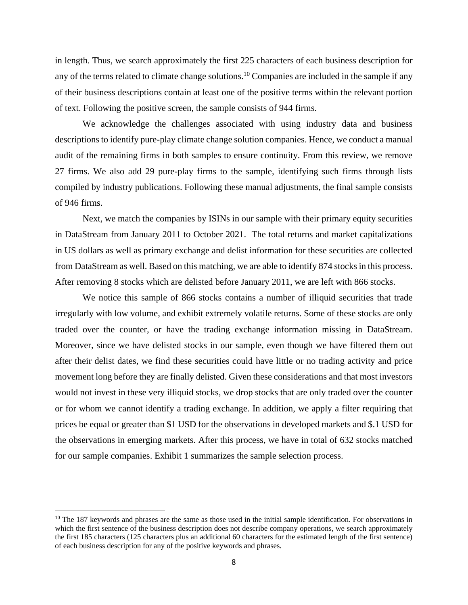in length. Thus, we search approximately the first 225 characters of each business description for any of the terms related to climate change solutions.<sup>10</sup> Companies are included in the sample if any of their business descriptions contain at least one of the positive terms within the relevant portion of text. Following the positive screen, the sample consists of 944 firms.

We acknowledge the challenges associated with using industry data and business descriptions to identify pure-play climate change solution companies. Hence, we conduct a manual audit of the remaining firms in both samples to ensure continuity. From this review, we remove 27 firms. We also add 29 pure-play firms to the sample, identifying such firms through lists compiled by industry publications. Following these manual adjustments, the final sample consists of 946 firms.

Next, we match the companies by ISINs in our sample with their primary equity securities in DataStream from January 2011 to October 2021. The total returns and market capitalizations in US dollars as well as primary exchange and delist information for these securities are collected from DataStream as well. Based on this matching, we are able to identify 874 stocks in this process. After removing 8 stocks which are delisted before January 2011, we are left with 866 stocks.

We notice this sample of 866 stocks contains a number of illiquid securities that trade irregularly with low volume, and exhibit extremely volatile returns. Some of these stocks are only traded over the counter, or have the trading exchange information missing in DataStream. Moreover, since we have delisted stocks in our sample, even though we have filtered them out after their delist dates, we find these securities could have little or no trading activity and price movement long before they are finally delisted. Given these considerations and that most investors would not invest in these very illiquid stocks, we drop stocks that are only traded over the counter or for whom we cannot identify a trading exchange. In addition, we apply a filter requiring that prices be equal or greater than \$1 USD for the observations in developed markets and \$.1 USD for the observations in emerging markets. After this process, we have in total of 632 stocks matched for our sample companies. Exhibit 1 summarizes the sample selection process.

 $10$  The 187 keywords and phrases are the same as those used in the initial sample identification. For observations in which the first sentence of the business description does not describe company operations, we search approximately the first 185 characters (125 characters plus an additional 60 characters for the estimated length of the first sentence) of each business description for any of the positive keywords and phrases.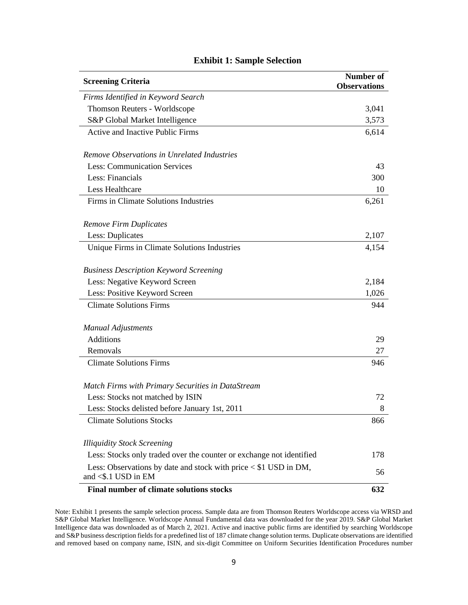| <b>Screening Criteria</b><br><b>Observations</b>                                           | <b>Number of</b> |
|--------------------------------------------------------------------------------------------|------------------|
| Firms Identified in Keyword Search                                                         |                  |
| Thomson Reuters - Worldscope                                                               | 3,041            |
| S&P Global Market Intelligence                                                             | 3,573            |
| <b>Active and Inactive Public Firms</b>                                                    | 6,614            |
| Remove Observations in Unrelated Industries                                                |                  |
| <b>Less: Communication Services</b>                                                        | 43               |
| Less: Financials                                                                           | 300              |
| Less Healthcare                                                                            | 10               |
| Firms in Climate Solutions Industries                                                      | 6,261            |
| <b>Remove Firm Duplicates</b>                                                              |                  |
| Less: Duplicates                                                                           | 2,107            |
| Unique Firms in Climate Solutions Industries                                               | 4,154            |
| <b>Business Description Keyword Screening</b>                                              |                  |
| Less: Negative Keyword Screen                                                              | 2,184            |
| Less: Positive Keyword Screen                                                              | 1,026            |
| <b>Climate Solutions Firms</b>                                                             | 944              |
| <b>Manual Adjustments</b>                                                                  |                  |
| <b>Additions</b>                                                                           | 29               |
| Removals                                                                                   | 27               |
| <b>Climate Solutions Firms</b>                                                             | 946              |
| Match Firms with Primary Securities in DataStream                                          |                  |
| Less: Stocks not matched by ISIN                                                           | 72               |
| Less: Stocks delisted before January 1st, 2011                                             | 8                |
| <b>Climate Solutions Stocks</b>                                                            | 866              |
| <b>Illiquidity Stock Screening</b>                                                         |                  |
| Less: Stocks only traded over the counter or exchange not identified                       | 178              |
| Less: Observations by date and stock with price < \$1 USD in DM,<br>and $<$ \$.1 USD in EM | 56               |
| Final number of climate solutions stocks                                                   | 632              |

#### **Exhibit 1: Sample Selection**

Note: Exhibit 1 presents the sample selection process. Sample data are from Thomson Reuters Worldscope access via WRSD and S&P Global Market Intelligence. Worldscope Annual Fundamental data was downloaded for the year 2019. S&P Global Market Intelligence data was downloaded as of March 2, 2021. Active and inactive public firms are identified by searching Worldscope and S&P business description fields for a predefined list of 187 climate change solution terms. Duplicate observations are identified and removed based on company name, ISIN, and six-digit Committee on Uniform Securities Identification Procedures number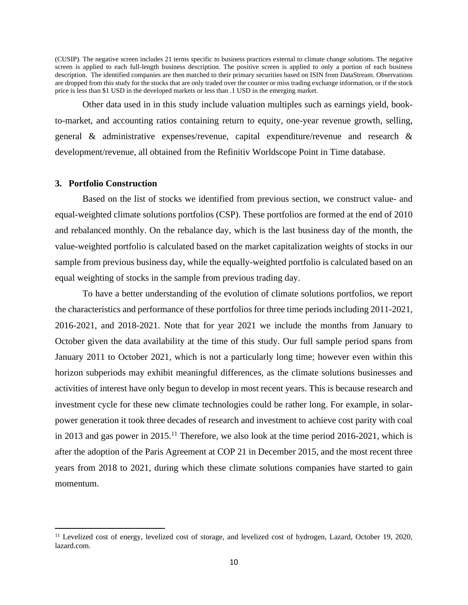(CUSIP). The negative screen includes 21 terms specific to business practices external to climate change solutions. The negative screen is applied to each full-length business description. The positive screen is applied to only a portion of each business description. The identified companies are then matched to their primary securities based on ISIN from DataStream. Observations are dropped from this study for the stocks that are only traded over the counter or miss trading exchange information, or if the stock price is less than \$1 USD in the developed markets or less than .1 USD in the emerging market.

Other data used in in this study include valuation multiples such as earnings yield, bookto-market, and accounting ratios containing return to equity, one-year revenue growth, selling, general & administrative expenses/revenue, capital expenditure/revenue and research & development/revenue, all obtained from the Refinitiv Worldscope Point in Time database.

#### **3. Portfolio Construction**

Based on the list of stocks we identified from previous section, we construct value- and equal-weighted climate solutions portfolios (CSP). These portfolios are formed at the end of 2010 and rebalanced monthly. On the rebalance day, which is the last business day of the month, the value-weighted portfolio is calculated based on the market capitalization weights of stocks in our sample from previous business day, while the equally-weighted portfolio is calculated based on an equal weighting of stocks in the sample from previous trading day.

To have a better understanding of the evolution of climate solutions portfolios, we report the characteristics and performance of these portfolios for three time periods including 2011-2021, 2016-2021, and 2018-2021. Note that for year 2021 we include the months from January to October given the data availability at the time of this study. Our full sample period spans from January 2011 to October 2021, which is not a particularly long time; however even within this horizon subperiods may exhibit meaningful differences, as the climate solutions businesses and activities of interest have only begun to develop in most recent years. This is because research and investment cycle for these new climate technologies could be rather long. For example, in solarpower generation it took three decades of research and investment to achieve cost parity with coal in 2013 and gas power in 2015.<sup>11</sup> Therefore, we also look at the time period 2016-2021, which is after the adoption of the Paris Agreement at COP 21 in December 2015, and the most recent three years from 2018 to 2021, during which these climate solutions companies have started to gain momentum.

<sup>&</sup>lt;sup>11</sup> Levelized cost of energy, levelized cost of storage, and levelized cost of hydrogen, Lazard, October 19, 2020, lazard.com.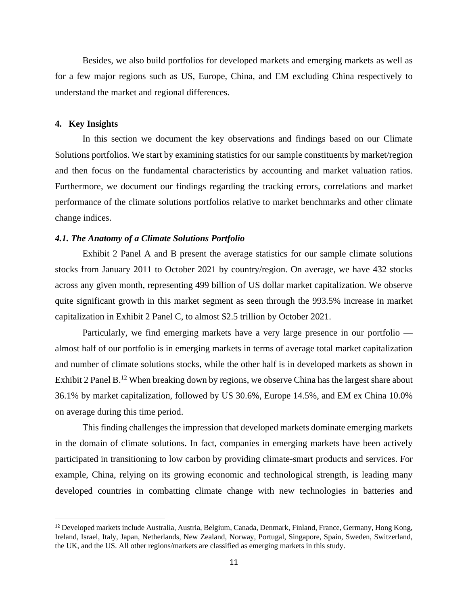Besides, we also build portfolios for developed markets and emerging markets as well as for a few major regions such as US, Europe, China, and EM excluding China respectively to understand the market and regional differences.

#### **4. Key Insights**

In this section we document the key observations and findings based on our Climate Solutions portfolios. We start by examining statistics for our sample constituents by market/region and then focus on the fundamental characteristics by accounting and market valuation ratios. Furthermore, we document our findings regarding the tracking errors, correlations and market performance of the climate solutions portfolios relative to market benchmarks and other climate change indices.

#### *4.1. The Anatomy of a Climate Solutions Portfolio*

Exhibit 2 Panel A and B present the average statistics for our sample climate solutions stocks from January 2011 to October 2021 by country/region. On average, we have 432 stocks across any given month, representing 499 billion of US dollar market capitalization. We observe quite significant growth in this market segment as seen through the 993.5% increase in market capitalization in Exhibit 2 Panel C, to almost \$2.5 trillion by October 2021.

Particularly, we find emerging markets have a very large presence in our portfolio almost half of our portfolio is in emerging markets in terms of average total market capitalization and number of climate solutions stocks, while the other half is in developed markets as shown in Exhibit 2 Panel B.<sup>12</sup> When breaking down by regions, we observe China has the largest share about 36.1% by market capitalization, followed by US 30.6%, Europe 14.5%, and EM ex China 10.0% on average during this time period.

This finding challenges the impression that developed markets dominate emerging markets in the domain of climate solutions. In fact, companies in emerging markets have been actively participated in transitioning to low carbon by providing climate-smart products and services. For example, China, relying on its growing economic and technological strength, is leading many developed countries in combatting climate change with new technologies in batteries and

<sup>12</sup> Developed markets include Australia, Austria, Belgium, Canada, Denmark, Finland, France, Germany, Hong Kong, Ireland, Israel, Italy, Japan, Netherlands, New Zealand, Norway, Portugal, Singapore, Spain, Sweden, Switzerland, the UK, and the US. All other regions/markets are classified as emerging markets in this study.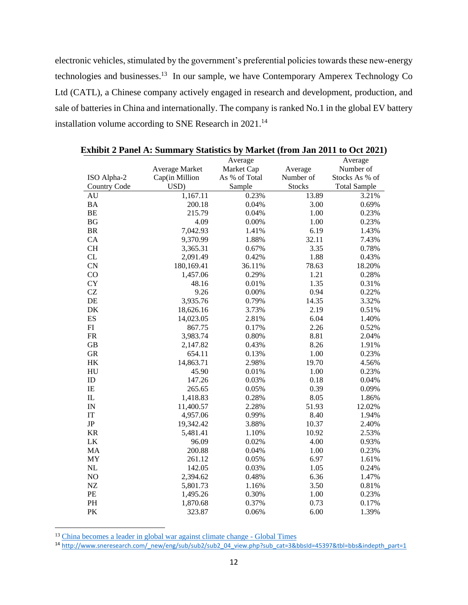electronic vehicles, stimulated by the government's preferential policies towards these new-energy technologies and businesses.<sup>13</sup> In our sample, we have Contemporary Amperex Technology Co Ltd (CATL), a Chinese company actively engaged in research and development, production, and sale of batteries in China and internationally. The company is ranked No.1 in the global EV battery installation volume according to SNE Research in 2021.<sup>14</sup>

|                            |                | Average       |               | Average             |
|----------------------------|----------------|---------------|---------------|---------------------|
|                            | Average Market | Market Cap    | Average       | Number of           |
| ISO Alpha-2                | Cap(in Million | As % of Total | Number of     | Stocks As % of      |
| <b>Country Code</b>        | USD)           | Sample        | <b>Stocks</b> | <b>Total Sample</b> |
| AU                         | 1,167.11       | 0.23%         | 13.89         | 3.21%               |
| <b>BA</b>                  | 200.18         | 0.04%         | 3.00          | 0.69%               |
| BE                         | 215.79         | 0.04%         | 1.00          | 0.23%               |
| <b>BG</b>                  | 4.09           | 0.00%         | 1.00          | 0.23%               |
| BR                         | 7,042.93       | 1.41%         | 6.19          | 1.43%               |
| CA                         | 9,370.99       | 1.88%         | 32.11         | 7.43%               |
| <b>CH</b>                  | 3,365.31       | 0.67%         | 3.35          | 0.78%               |
| CL                         | 2,091.49       | 0.42%         | 1.88          | 0.43%               |
| CN                         | 180,169.41     | 36.11%        | 78.63         | 18.20%              |
| CO                         | 1,457.06       | 0.29%         | 1.21          | 0.28%               |
| <b>CY</b>                  | 48.16          | 0.01%         | 1.35          | 0.31%               |
| CZ                         | 9.26           | 0.00%         | 0.94          | 0.22%               |
| DE                         | 3,935.76       | 0.79%         | 14.35         | 3.32%               |
| $\rm DK$                   | 18,626.16      | 3.73%         | 2.19          | 0.51%               |
| ES                         | 14,023.05      | 2.81%         | 6.04          | 1.40%               |
| FI                         | 867.75         | 0.17%         | 2.26          | 0.52%               |
| FR                         | 3,983.74       | 0.80%         | 8.81          | 2.04%               |
| GB                         | 2,147.82       | 0.43%         | 8.26          | 1.91%               |
| ${\rm GR}$                 | 654.11         | 0.13%         | 1.00          | 0.23%               |
| HK                         | 14,863.71      | 2.98%         | 19.70         | 4.56%               |
| ${\rm H}{\rm U}$           | 45.90          | 0.01%         | 1.00          | 0.23%               |
| ID                         | 147.26         | 0.03%         | 0.18          | 0.04%               |
| $\rm IE$                   | 265.65         | 0.05%         | 0.39          | 0.09%               |
| $\rm IL$                   | 1,418.83       | 0.28%         | 8.05          | 1.86%               |
| IN                         | 11,400.57      | 2.28%         | 51.93         | 12.02%              |
| $\ensuremath{\mathsf{IT}}$ | 4,957.06       | 0.99%         | 8.40          | 1.94%               |
| $\rm JP$                   | 19,342.42      | 3.88%         | 10.37         | 2.40%               |
| <b>KR</b>                  | 5,481.41       | 1.10%         | 10.92         | 2.53%               |
| LK                         | 96.09          | 0.02%         | 4.00          | 0.93%               |
| MA                         | 200.88         | 0.04%         | 1.00          | 0.23%               |
| MY                         | 261.12         | 0.05%         | 6.97          | 1.61%               |
| NL                         | 142.05         | 0.03%         | 1.05          | 0.24%               |
| NO                         | 2,394.62       | 0.48%         | 6.36          | 1.47%               |
| NZ                         | 5,801.73       | 1.16%         | 3.50          | 0.81%               |
| PE                         | 1,495.26       | 0.30%         | 1.00          | 0.23%               |
| PH                         | 1,870.68       | 0.37%         | 0.73          | 0.17%               |
| PK                         | 323.87         | 0.06%         | 6.00          | 1.39%               |

|  | Exhibit 2 Panel A: Summary Statistics by Market (from Jan 2011 to Oct 2021) |  |
|--|-----------------------------------------------------------------------------|--|
|  |                                                                             |  |

<sup>&</sup>lt;sup>13</sup> [China becomes a leader in global war against climate change -](https://www.globaltimes.cn/page/202107/1229548.shtml) Global Times

<sup>14</sup> [http://www.sneresearch.com/\\_new/eng/sub/sub2/sub2\\_04\\_view.php?sub\\_cat=3&bbsId=45397&tbl=bbs&indepth\\_part=1](http://www.sneresearch.com/_new/eng/sub/sub2/sub2_04_view.php?sub_cat=3&bbsId=45397&tbl=bbs&indepth_part=1)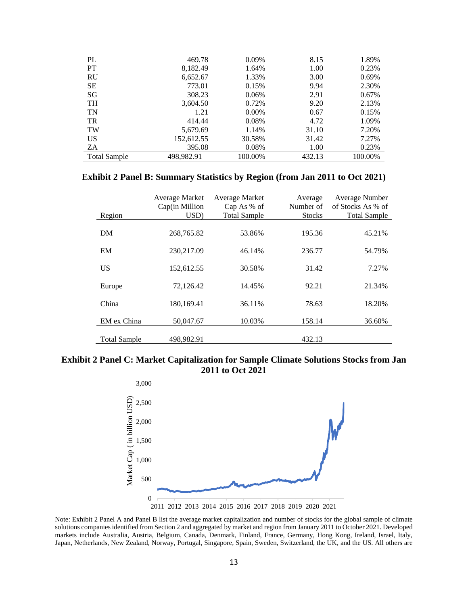| PL                  | 469.78     | 0.09%    | 8.15   | 1.89%   |
|---------------------|------------|----------|--------|---------|
| <b>PT</b>           | 8,182.49   | 1.64%    | 1.00   | 0.23%   |
| <b>RU</b>           | 6,652.67   | 1.33%    | 3.00   | 0.69%   |
| <b>SE</b>           | 773.01     | 0.15%    | 9.94   | 2.30%   |
| SG                  | 308.23     | 0.06%    | 2.91   | 0.67%   |
| <b>TH</b>           | 3,604.50   | 0.72%    | 9.20   | 2.13%   |
| TN                  | 1.21       | $0.00\%$ | 0.67   | 0.15%   |
| <b>TR</b>           | 414.44     | 0.08%    | 4.72   | 1.09%   |
| TW                  | 5,679.69   | 1.14%    | 31.10  | 7.20%   |
| <b>US</b>           | 152,612.55 | 30.58%   | 31.42  | 7.27%   |
| ZA                  | 395.08     | 0.08%    | 1.00   | 0.23%   |
| <b>Total Sample</b> | 498.982.91 | 100.00%  | 432.13 | 100.00% |

#### **Exhibit 2 Panel B: Summary Statistics by Region (from Jan 2011 to Oct 2021)**

|                     | Average Market | Average Market      | Average       | Average Number      |
|---------------------|----------------|---------------------|---------------|---------------------|
|                     | Cap(in Million | $Cap$ As % of       | Number of     | of Stocks As % of   |
| Region              | USD)           | <b>Total Sample</b> | <b>Stocks</b> | <b>Total Sample</b> |
| DM                  | 268,765.82     | 53.86%              | 195.36        | 45.21%              |
| EM                  | 230,217.09     | 46.14%              | 236.77        | 54.79%              |
| US                  | 152,612.55     | 30.58%              | 31.42         | 7.27%               |
| Europe              | 72,126.42      | 14.45%              | 92.21         | 21.34%              |
| China               | 180,169.41     | 36.11%              | 78.63         | 18.20%              |
| EM ex China         | 50,047.67      | 10.03%              | 158.14        | 36.60%              |
| <b>Total Sample</b> | 498,982.91     |                     | 432.13        |                     |

#### **Exhibit 2 Panel C: Market Capitalization for Sample Climate Solutions Stocks from Jan 2011 to Oct 2021**



Note: Exhibit 2 Panel A and Panel B list the average market capitalization and number of stocks for the global sample of climate solutions companies identified from Section 2 and aggregated by market and region from January 2011 to October 2021. Developed markets include Australia, Austria, Belgium, Canada, Denmark, Finland, France, Germany, Hong Kong, Ireland, Israel, Italy, Japan, Netherlands, New Zealand, Norway, Portugal, Singapore, Spain, Sweden, Switzerland, the UK, and the US. All others are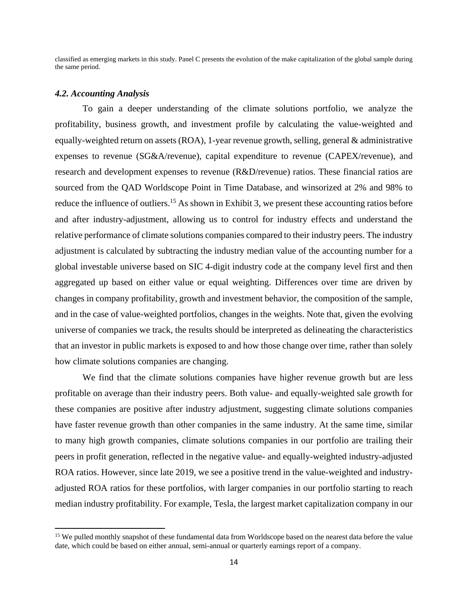classified as emerging markets in this study. Panel C presents the evolution of the make capitalization of the global sample during the same period.

#### *4.2. Accounting Analysis*

To gain a deeper understanding of the climate solutions portfolio, we analyze the profitability, business growth, and investment profile by calculating the value-weighted and equally-weighted return on assets (ROA), 1-year revenue growth, selling, general & administrative expenses to revenue (SG&A/revenue), capital expenditure to revenue (CAPEX/revenue), and research and development expenses to revenue (R&D/revenue) ratios. These financial ratios are sourced from the QAD Worldscope Point in Time Database, and winsorized at 2% and 98% to reduce the influence of outliers.<sup>15</sup> As shown in Exhibit 3, we present these accounting ratios before and after industry-adjustment, allowing us to control for industry effects and understand the relative performance of climate solutions companies compared to their industry peers. The industry adjustment is calculated by subtracting the industry median value of the accounting number for a global investable universe based on SIC 4-digit industry code at the company level first and then aggregated up based on either value or equal weighting. Differences over time are driven by changes in company profitability, growth and investment behavior, the composition of the sample, and in the case of value-weighted portfolios, changes in the weights. Note that, given the evolving universe of companies we track, the results should be interpreted as delineating the characteristics that an investor in public markets is exposed to and how those change over time, rather than solely how climate solutions companies are changing.

We find that the climate solutions companies have higher revenue growth but are less profitable on average than their industry peers. Both value- and equally-weighted sale growth for these companies are positive after industry adjustment, suggesting climate solutions companies have faster revenue growth than other companies in the same industry. At the same time, similar to many high growth companies, climate solutions companies in our portfolio are trailing their peers in profit generation, reflected in the negative value- and equally-weighted industry-adjusted ROA ratios. However, since late 2019, we see a positive trend in the value-weighted and industryadjusted ROA ratios for these portfolios, with larger companies in our portfolio starting to reach median industry profitability. For example, Tesla, the largest market capitalization company in our

<sup>&</sup>lt;sup>15</sup> We pulled monthly snapshot of these fundamental data from Worldscope based on the nearest data before the value date, which could be based on either annual, semi-annual or quarterly earnings report of a company.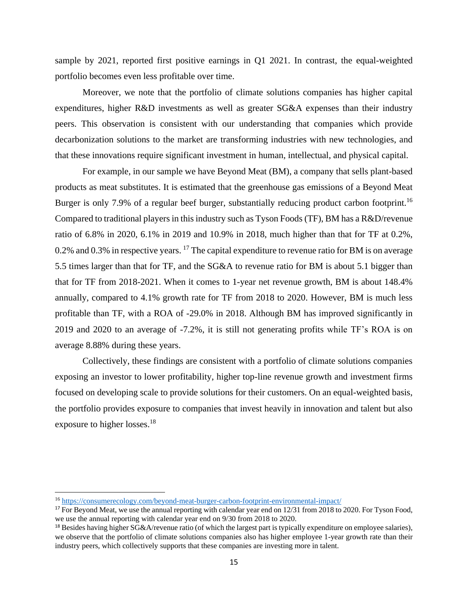sample by 2021, reported first positive earnings in Q1 2021. In contrast, the equal-weighted portfolio becomes even less profitable over time.

Moreover, we note that the portfolio of climate solutions companies has higher capital expenditures, higher R&D investments as well as greater SG&A expenses than their industry peers. This observation is consistent with our understanding that companies which provide decarbonization solutions to the market are transforming industries with new technologies, and that these innovations require significant investment in human, intellectual, and physical capital.

For example, in our sample we have Beyond Meat (BM), a company that sells plant-based products as meat substitutes. It is estimated that the greenhouse gas emissions of a Beyond Meat Burger is only 7.9% of a regular beef burger, substantially reducing product carbon footprint.<sup>16</sup> Compared to traditional players in this industry such as Tyson Foods (TF), BM has a R&D/revenue ratio of 6.8% in 2020, 6.1% in 2019 and 10.9% in 2018, much higher than that for TF at 0.2%, 0.2% and 0.3% in respective years. <sup>17</sup> The capital expenditure to revenue ratio for BM is on average 5.5 times larger than that for TF, and the SG&A to revenue ratio for BM is about 5.1 bigger than that for TF from 2018-2021. When it comes to 1-year net revenue growth, BM is about 148.4% annually, compared to 4.1% growth rate for TF from 2018 to 2020. However, BM is much less profitable than TF, with a ROA of -29.0% in 2018. Although BM has improved significantly in 2019 and 2020 to an average of -7.2%, it is still not generating profits while TF's ROA is on average 8.88% during these years.

Collectively, these findings are consistent with a portfolio of climate solutions companies exposing an investor to lower profitability, higher top-line revenue growth and investment firms focused on developing scale to provide solutions for their customers. On an equal-weighted basis, the portfolio provides exposure to companies that invest heavily in innovation and talent but also exposure to higher losses.<sup>18</sup>

<sup>16</sup> <https://consumerecology.com/beyond-meat-burger-carbon-footprint-environmental-impact/>

<sup>&</sup>lt;sup>17</sup> For Beyond Meat, we use the annual reporting with calendar year end on 12/31 from 2018 to 2020. For Tyson Food, we use the annual reporting with calendar year end on 9/30 from 2018 to 2020.

<sup>&</sup>lt;sup>18</sup> Besides having higher  $SG&A$ /revenue ratio (of which the largest part is typically expenditure on employee salaries), we observe that the portfolio of climate solutions companies also has higher employee 1-year growth rate than their industry peers, which collectively supports that these companies are investing more in talent.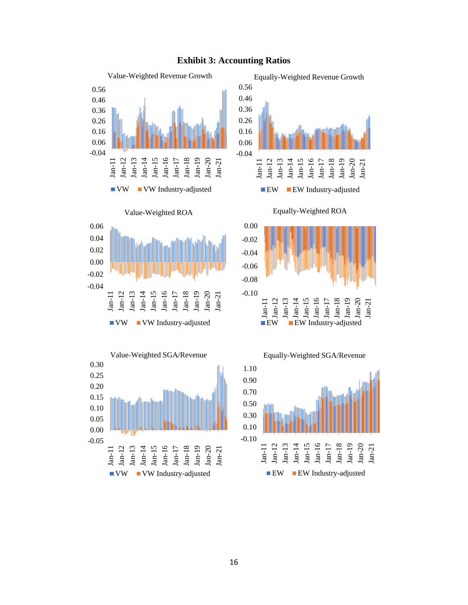









Equally-Weighted ROA





#### **Exhibit 3: Accounting Ratios**

Jan-11 Jan-12 Jan-13 Jan-14 Jan-15 Jan-16 Jan-17 Jan-18 Jan-19 Jan-20 Jan-21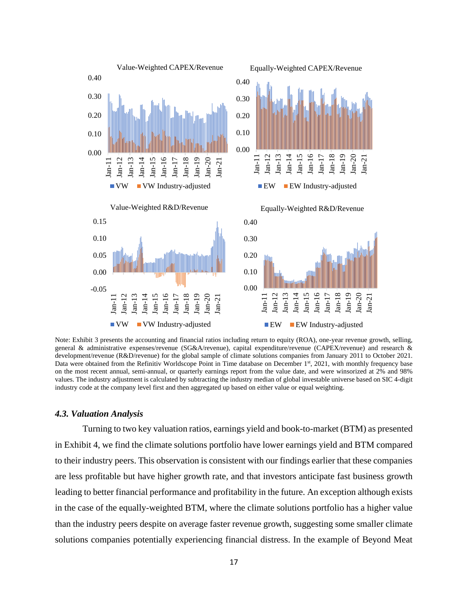

Note: Exhibit 3 presents the accounting and financial ratios including return to equity (ROA), one-year revenue growth, selling, general & administrative expenses/revenue (SG&A/revenue), capital expenditure/revenue (CAPEX/revenue) and research & development/revenue (R&D/revenue) for the global sample of climate solutions companies from January 2011 to October 2021. Data were obtained from the Refinitiv Worldscope Point in Time database on December 1st, 2021, with monthly frequency base on the most recent annual, semi-annual, or quarterly earnings report from the value date, and were winsorized at 2% and 98% values. The industry adjustment is calculated by subtracting the industry median of global investable universe based on SIC 4-digit industry code at the company level first and then aggregated up based on either value or equal weighting.

#### *4.3. Valuation Analysis*

Turning to two key valuation ratios, earnings yield and book-to-market (BTM) as presented in Exhibit 4, we find the climate solutions portfolio have lower earnings yield and BTM compared to their industry peers. This observation is consistent with our findings earlier that these companies are less profitable but have higher growth rate, and that investors anticipate fast business growth leading to better financial performance and profitability in the future. An exception although exists in the case of the equally-weighted BTM, where the climate solutions portfolio has a higher value than the industry peers despite on average faster revenue growth, suggesting some smaller climate solutions companies potentially experiencing financial distress. In the example of Beyond Meat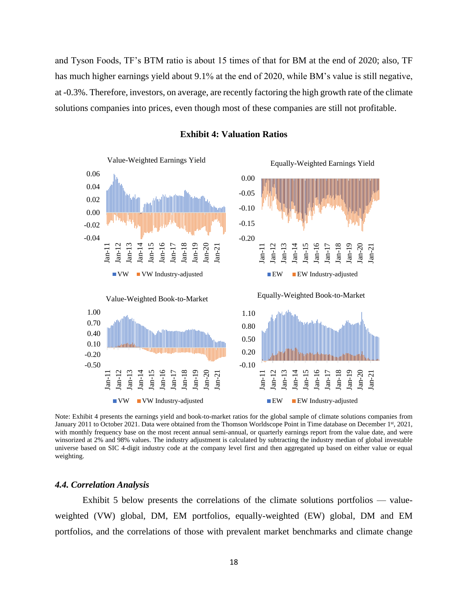and Tyson Foods, TF's BTM ratio is about 15 times of that for BM at the end of 2020; also, TF has much higher earnings yield about 9.1% at the end of 2020, while BM's value is still negative, at -0.3%. Therefore, investors, on average, are recently factoring the high growth rate of the climate solutions companies into prices, even though most of these companies are still not profitable.



**Exhibit 4: Valuation Ratios**

Note: Exhibit 4 presents the earnings yield and book-to-market ratios for the global sample of climate solutions companies from January 2011 to October 2021. Data were obtained from the Thomson Worldscope Point in Time database on December 1st, 2021, with monthly frequency base on the most recent annual semi-annual, or quarterly earnings report from the value date, and were winsorized at 2% and 98% values. The industry adjustment is calculated by subtracting the industry median of global investable universe based on SIC 4-digit industry code at the company level first and then aggregated up based on either value or equal weighting.

#### *4.4. Correlation Analysis*

Exhibit 5 below presents the correlations of the climate solutions portfolios — valueweighted (VW) global, DM, EM portfolios, equally-weighted (EW) global, DM and EM portfolios, and the correlations of those with prevalent market benchmarks and climate change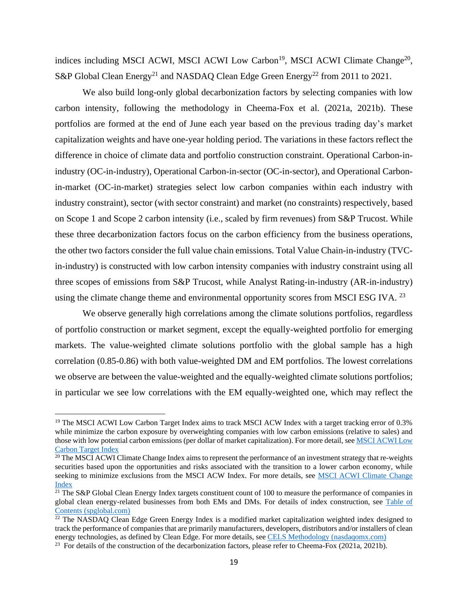indices including MSCI ACWI, MSCI ACWI Low Carbon<sup>19</sup>, MSCI ACWI Climate Change<sup>20</sup>, S&P Global Clean Energy<sup>21</sup> and NASDAQ Clean Edge Green Energy<sup>22</sup> from 2011 to 2021.

We also build long-only global decarbonization factors by selecting companies with low carbon intensity, following the methodology in Cheema-Fox et al. (2021a, 2021b). These portfolios are formed at the end of June each year based on the previous trading day's market capitalization weights and have one-year holding period. The variations in these factors reflect the difference in choice of climate data and portfolio construction constraint. Operational Carbon-inindustry (OC-in-industry), Operational Carbon-in-sector (OC-in-sector), and Operational Carbonin-market (OC-in-market) strategies select low carbon companies within each industry with industry constraint), sector (with sector constraint) and market (no constraints) respectively, based on Scope 1 and Scope 2 carbon intensity (i.e., scaled by firm revenues) from S&P Trucost. While these three decarbonization factors focus on the carbon efficiency from the business operations, the other two factors consider the full value chain emissions. Total Value Chain-in-industry (TVCin-industry) is constructed with low carbon intensity companies with industry constraint using all three scopes of emissions from S&P Trucost, while Analyst Rating-in-industry (AR-in-industry) using the climate change theme and environmental opportunity scores from MSCI ESG IVA.<sup>23</sup>

We observe generally high correlations among the climate solutions portfolios, regardless of portfolio construction or market segment, except the equally-weighted portfolio for emerging markets. The value-weighted climate solutions portfolio with the global sample has a high correlation (0.85-0.86) with both value-weighted DM and EM portfolios. The lowest correlations we observe are between the value-weighted and the equally-weighted climate solutions portfolios; in particular we see low correlations with the EM equally-weighted one, which may reflect the

<sup>&</sup>lt;sup>19</sup> The MSCI ACWI Low Carbon Target Index aims to track MSCI ACW Index with a target tracking error of 0.3% while minimize the carbon exposure by overweighting companies with low carbon emissions (relative to sales) and those with low potential carbon emissions (per dollar of market capitalization). For more detail, se[e MSCI ACWI Low](https://www.msci.com/documents/10199/c64f0873-5818-4304-aaf2-df19d42ae47a)  [Carbon Target Index](https://www.msci.com/documents/10199/c64f0873-5818-4304-aaf2-df19d42ae47a)

 $20$  The MSCI ACWI Climate Change Index aims to represent the performance of an investment strategy that re-weights securities based upon the opportunities and risks associated with the transition to a lower carbon economy, while seeking to minimize exclusions from the MSCI ACW Index. For more details, see [MSCI ACWI Climate Change](https://www.msci.com/documents/10199/a3c71029-fdc3-2636-6e9d-2f3ee507a711)  [Index](https://www.msci.com/documents/10199/a3c71029-fdc3-2636-6e9d-2f3ee507a711)

<sup>&</sup>lt;sup>21</sup> The S&P Global Clean Energy Index targets constituent count of 100 to measure the performance of companies in global clean energy-related businesses from both EMs and DMs. For details of index construction, see [Table of](https://www.spglobal.com/spdji/en/documents/methodologies/methodology-sp-thematic-indices.pdf)  [Contents \(spglobal.com\)](https://www.spglobal.com/spdji/en/documents/methodologies/methodology-sp-thematic-indices.pdf)

<sup>&</sup>lt;sup>22</sup> The NASDAQ Clean Edge Green Energy Index is a modified market capitalization weighted index designed to track the performance of companies that are primarily manufacturers, developers, distributors and/or installers of clean energy technologies, as defined by Clean Edge. For more details, see [CELS Methodology \(nasdaqomx.com\)](https://indexes.nasdaqomx.com/docs/methodology_CELS.pdf)

<sup>&</sup>lt;sup>23</sup> For details of the construction of the decarbonization factors, please refer to Cheema-Fox (2021a, 2021b).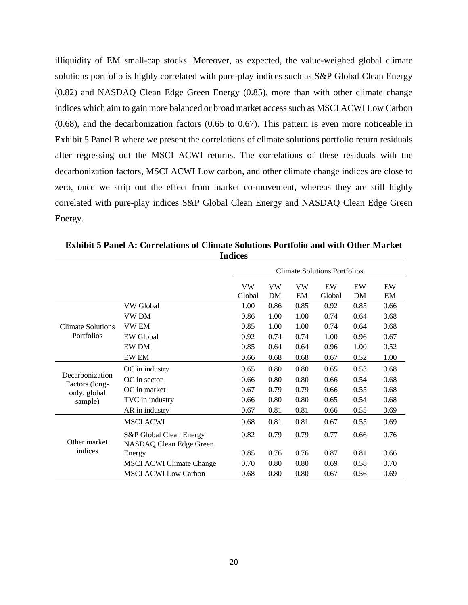illiquidity of EM small-cap stocks. Moreover, as expected, the value-weighed global climate solutions portfolio is highly correlated with pure-play indices such as S&P Global Clean Energy (0.82) and NASDAQ Clean Edge Green Energy (0.85), more than with other climate change indices which aim to gain more balanced or broad market access such as MSCI ACWI Low Carbon (0.68), and the decarbonization factors (0.65 to 0.67). This pattern is even more noticeable in Exhibit 5 Panel B where we present the correlations of climate solutions portfolio return residuals after regressing out the MSCI ACWI returns. The correlations of these residuals with the decarbonization factors, MSCI ACWI Low carbon, and other climate change indices are close to zero, once we strip out the effect from market co-movement, whereas they are still highly correlated with pure-play indices S&P Global Clean Energy and NASDAQ Clean Edge Green Energy.

|                                |                                                    | <b>Climate Solutions Portfolios</b> |          |                 |              |          |          |
|--------------------------------|----------------------------------------------------|-------------------------------------|----------|-----------------|--------------|----------|----------|
|                                |                                                    | <b>VW</b><br>Global                 | VW<br>DM | <b>VW</b><br>EM | EW<br>Global | EW<br>DM | EW<br>EM |
|                                | VW Global                                          | 1.00                                | 0.86     | 0.85            | 0.92         | 0.85     | 0.66     |
|                                | VW DM                                              | 0.86                                | 1.00     | 1.00            | 0.74         | 0.64     | 0.68     |
| <b>Climate Solutions</b>       | VW EM                                              | 0.85                                | 1.00     | 1.00            | 0.74         | 0.64     | 0.68     |
| Portfolios                     | <b>EW</b> Global                                   | 0.92                                | 0.74     | 0.74            | 1.00         | 0.96     | 0.67     |
|                                | <b>EW DM</b>                                       | 0.85                                | 0.64     | 0.64            | 0.96         | 1.00     | 0.52     |
|                                | <b>EW EM</b>                                       | 0.66                                | 0.68     | 0.68            | 0.67         | 0.52     | 1.00     |
|                                | OC in industry                                     | 0.65                                | 0.80     | 0.80            | 0.65         | 0.53     | 0.68     |
| Decarbonization                | OC in sector                                       | 0.66                                | 0.80     | 0.80            | 0.66         | 0.54     | 0.68     |
| Factors (long-<br>only, global | OC in market                                       | 0.67                                | 0.79     | 0.79            | 0.66         | 0.55     | 0.68     |
| sample)                        | TVC in industry                                    | 0.66                                | 0.80     | 0.80            | 0.65         | 0.54     | 0.68     |
|                                | AR in industry                                     | 0.67                                | 0.81     | 0.81            | 0.66         | 0.55     | 0.69     |
|                                | <b>MSCI ACWI</b>                                   | 0.68                                | 0.81     | 0.81            | 0.67         | 0.55     | 0.69     |
| Other market                   | S&P Global Clean Energy<br>NASDAQ Clean Edge Green | 0.82                                | 0.79     | 0.79            | 0.77         | 0.66     | 0.76     |
| indices                        | Energy                                             | 0.85                                | 0.76     | 0.76            | 0.87         | 0.81     | 0.66     |
|                                | <b>MSCI ACWI Climate Change</b>                    | 0.70                                | 0.80     | 0.80            | 0.69         | 0.58     | 0.70     |
|                                | <b>MSCI ACWI Low Carbon</b>                        | 0.68                                | 0.80     | 0.80            | 0.67         | 0.56     | 0.69     |

**Exhibit 5 Panel A: Correlations of Climate Solutions Portfolio and with Other Market Indices**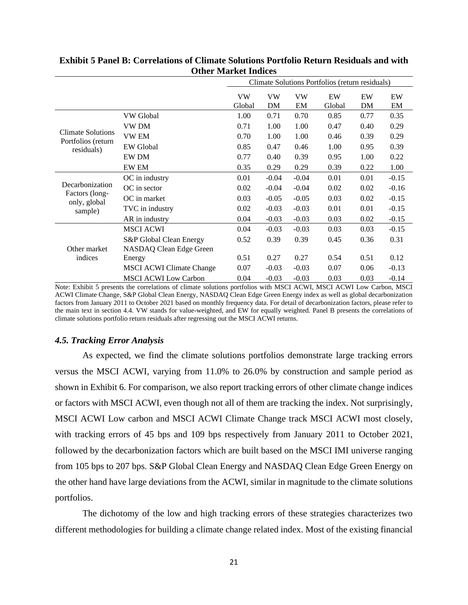|                                  |                                 | Climate Solutions Portfolios (return residuals) |                 |                 |              |          |          |
|----------------------------------|---------------------------------|-------------------------------------------------|-----------------|-----------------|--------------|----------|----------|
|                                  |                                 | <b>VW</b><br>Global                             | <b>VW</b><br>DM | <b>VW</b><br>EM | EW<br>Global | EW<br>DM | EW<br>EM |
|                                  | VW Global                       | 1.00                                            | 0.71            | 0.70            | 0.85         | 0.77     | 0.35     |
|                                  | <b>VW DM</b>                    | 0.71                                            | 1.00            | 1.00            | 0.47         | 0.40     | 0.29     |
| <b>Climate Solutions</b>         | <b>VW EM</b>                    | 0.70                                            | 1.00            | 1.00            | 0.46         | 0.39     | 0.29     |
| Portfolios (return<br>residuals) | <b>EW</b> Global                | 0.85                                            | 0.47            | 0.46            | 1.00         | 0.95     | 0.39     |
|                                  | <b>EW DM</b>                    | 0.77                                            | 0.40            | 0.39            | 0.95         | 1.00     | 0.22     |
|                                  | <b>EW EM</b>                    | 0.35                                            | 0.29            | 0.29            | 0.39         | 0.22     | 1.00     |
|                                  | OC in industry                  | 0.01                                            | $-0.04$         | $-0.04$         | 0.01         | 0.01     | $-0.15$  |
| Decarbonization                  | OC in sector                    | 0.02                                            | $-0.04$         | $-0.04$         | 0.02         | 0.02     | $-0.16$  |
| Factors (long-<br>only, global   | OC in market                    | 0.03                                            | $-0.05$         | $-0.05$         | 0.03         | 0.02     | $-0.15$  |
| sample)                          | TVC in industry                 | 0.02                                            | $-0.03$         | $-0.03$         | 0.01         | 0.01     | $-0.15$  |
|                                  | AR in industry                  | 0.04                                            | $-0.03$         | $-0.03$         | 0.03         | 0.02     | $-0.15$  |
|                                  | <b>MSCI ACWI</b>                | 0.04                                            | $-0.03$         | $-0.03$         | 0.03         | 0.03     | $-0.15$  |
|                                  | S&P Global Clean Energy         | 0.52                                            | 0.39            | 0.39            | 0.45         | 0.36     | 0.31     |
| Other market                     | NASDAQ Clean Edge Green         |                                                 |                 |                 |              |          |          |
| indices                          | Energy                          | 0.51                                            | 0.27            | 0.27            | 0.54         | 0.51     | 0.12     |
|                                  | <b>MSCI ACWI Climate Change</b> | 0.07                                            | $-0.03$         | $-0.03$         | 0.07         | 0.06     | $-0.13$  |
|                                  | <b>MSCI ACWI Low Carbon</b>     | 0.04                                            | $-0.03$         | $-0.03$         | 0.03         | 0.03     | $-0.14$  |

#### **Exhibit 5 Panel B: Correlations of Climate Solutions Portfolio Return Residuals and with Other Market Indices**

Note: Exhibit 5 presents the correlations of climate solutions portfolios with MSCI ACWI, MSCI ACWI Low Carbon, MSCI ACWI Climate Change, S&P Global Clean Energy, NASDAQ Clean Edge Green Energy index as well as global decarbonization factors from January 2011 to October 2021 based on monthly frequency data. For detail of decarbonization factors, please refer to the main text in section 4.4. VW stands for value-weighted, and EW for equally weighted. Panel B presents the correlations of climate solutions portfolio return residuals after regressing out the MSCI ACWI returns.

#### *4.5. Tracking Error Analysis*

As expected, we find the climate solutions portfolios demonstrate large tracking errors versus the MSCI ACWI, varying from 11.0% to 26.0% by construction and sample period as shown in Exhibit 6. For comparison, we also report tracking errors of other climate change indices or factors with MSCI ACWI, even though not all of them are tracking the index. Not surprisingly, MSCI ACWI Low carbon and MSCI ACWI Climate Change track MSCI ACWI most closely, with tracking errors of 45 bps and 109 bps respectively from January 2011 to October 2021, followed by the decarbonization factors which are built based on the MSCI IMI universe ranging from 105 bps to 207 bps. S&P Global Clean Energy and NASDAQ Clean Edge Green Energy on the other hand have large deviations from the ACWI, similar in magnitude to the climate solutions portfolios.

The dichotomy of the low and high tracking errors of these strategies characterizes two different methodologies for building a climate change related index. Most of the existing financial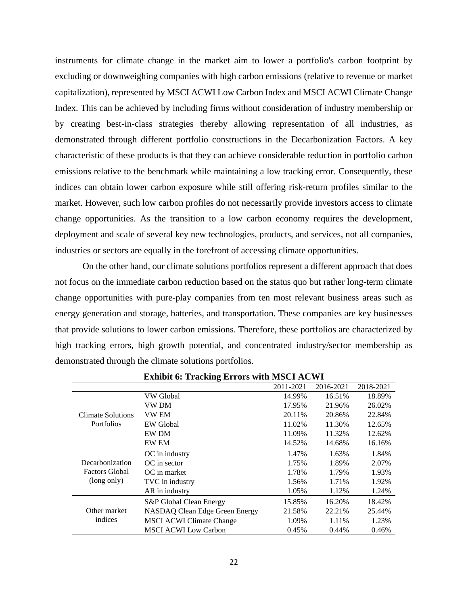instruments for climate change in the market aim to lower a portfolio's carbon footprint by excluding or downweighing companies with high carbon emissions (relative to revenue or market capitalization), represented by MSCI ACWI Low Carbon Index and MSCI ACWI Climate Change Index. This can be achieved by including firms without consideration of industry membership or by creating best-in-class strategies thereby allowing representation of all industries, as demonstrated through different portfolio constructions in the Decarbonization Factors. A key characteristic of these products is that they can achieve considerable reduction in portfolio carbon emissions relative to the benchmark while maintaining a low tracking error. Consequently, these indices can obtain lower carbon exposure while still offering risk-return profiles similar to the market. However, such low carbon profiles do not necessarily provide investors access to climate change opportunities. As the transition to a low carbon economy requires the development, deployment and scale of several key new technologies, products, and services, not all companies, industries or sectors are equally in the forefront of accessing climate opportunities.

On the other hand, our climate solutions portfolios represent a different approach that does not focus on the immediate carbon reduction based on the status quo but rather long-term climate change opportunities with pure-play companies from ten most relevant business areas such as energy generation and storage, batteries, and transportation. These companies are key businesses that provide solutions to lower carbon emissions. Therefore, these portfolios are characterized by high tracking errors, high growth potential, and concentrated industry/sector membership as demonstrated through the climate solutions portfolios.

|                       |                                 | 2011-2021 | 2016-2021 | 2018-2021 |
|-----------------------|---------------------------------|-----------|-----------|-----------|
|                       | VW Global                       | 14.99%    | 16.51%    | 18.89%    |
|                       | VW DM                           | 17.95%    | 21.96%    | 26.02%    |
| Climate Solutions     | <b>VW EM</b>                    | 20.11%    | 20.86%    | 22.84%    |
| <b>Portfolios</b>     | <b>EW</b> Global                | 11.02%    | 11.30%    | 12.65%    |
|                       | <b>EW DM</b>                    | 11.09%    | 11.32%    | 12.62%    |
|                       | <b>EW EM</b>                    | 14.52%    | 14.68%    | 16.16%    |
|                       | OC in industry                  | 1.47%     | 1.63%     | 1.84%     |
| Decarbonization       | $OC$ in sector                  | 1.75%     | 1.89%     | 2.07%     |
| <b>Factors Global</b> | OC in market                    | 1.78%     | 1.79%     | 1.93%     |
| (long only)           | TVC in industry                 | 1.56%     | 1.71%     | 1.92%     |
|                       | AR in industry                  | 1.05%     | 1.12%     | 1.24%     |
|                       | S&P Global Clean Energy         | 15.85%    | 16.20%    | 18.42%    |
| Other market          | NASDAQ Clean Edge Green Energy  | 21.58%    | 22.21%    | 25.44%    |
| indices               | <b>MSCI ACWI Climate Change</b> | 1.09%     | 1.11%     | 1.23%     |
|                       | <b>MSCI ACWI Low Carbon</b>     | 0.45%     | 0.44%     | 0.46%     |

**Exhibit 6: Tracking Errors with MSCI ACWI**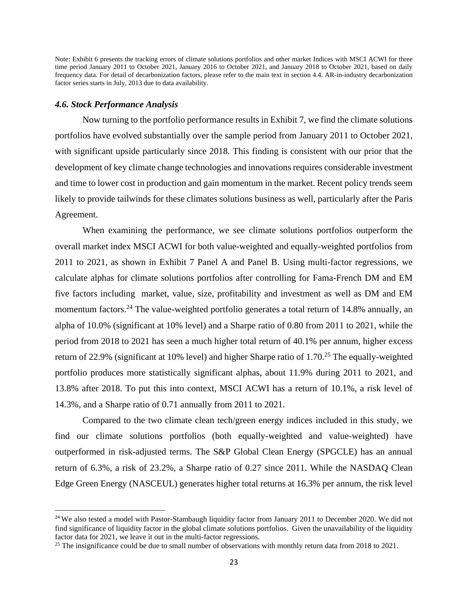Note: Exhibit 6 presents the tracking errors of climate solutions portfolios and other market Indices with MSCI ACWI for three time period January 2011 to October 2021, January 2016 to October 2021, and January 2018 to October 2021, based on daily frequency data. For detail of decarbonization factors, please refer to the main text in section 4.4. AR-in-industry decarbonization factor series starts in July, 2013 due to data availability.

#### *4.6. Stock Performance Analysis*

Now turning to the portfolio performance results in Exhibit 7, we find the climate solutions portfolios have evolved substantially over the sample period from January 2011 to October 2021, with significant upside particularly since 2018. This finding is consistent with our prior that the development of key climate change technologies and innovations requires considerable investment and time to lower cost in production and gain momentum in the market. Recent policy trends seem likely to provide tailwinds for these climates solutions business as well, particularly after the Paris Agreement.

When examining the performance, we see climate solutions portfolios outperform the overall market index MSCI ACWI for both value-weighted and equally-weighted portfolios from 2011 to 2021, as shown in Exhibit 7 Panel A and Panel B. Using multi-factor regressions, we calculate alphas for climate solutions portfolios after controlling for Fama-French DM and EM five factors including market, value, size, profitability and investment as well as DM and EM momentum factors.<sup>24</sup> The value-weighted portfolio generates a total return of 14.8% annually, an alpha of 10.0% (significant at 10% level) and a Sharpe ratio of 0.80 from 2011 to 2021, while the period from 2018 to 2021 has seen a much higher total return of 40.1% per annum, higher excess return of 22.9% (significant at 10% level) and higher Sharpe ratio of 1.70.<sup>25</sup> The equally-weighted portfolio produces more statistically significant alphas, about 11.9% during 2011 to 2021, and 13.8% after 2018. To put this into context, MSCI ACWI has a return of 10.1%, a risk level of 14.3%, and a Sharpe ratio of 0.71 annually from 2011 to 2021.

Compared to the two climate clean tech/green energy indices included in this study, we find our climate solutions portfolios (both equally-weighted and value-weighted) have outperformed in risk-adjusted terms. The S&P Global Clean Energy (SPGCLE) has an annual return of 6.3%, a risk of 23.2%, a Sharpe ratio of 0.27 since 2011. While the NASDAQ Clean Edge Green Energy (NASCEUL) generates higher total returns at 16.3% per annum, the risk level

<sup>&</sup>lt;sup>24</sup> We also tested a model with Pastor-Stambaugh liquidity factor from January 2011 to December 2020. We did not find significance of liquidity factor in the global climate solutions portfolios. Given the unavailability of the liquidity factor data for 2021, we leave it out in the multi-factor regressions.

<sup>&</sup>lt;sup>25</sup> The insignificance could be due to small number of observations with monthly return data from 2018 to 2021.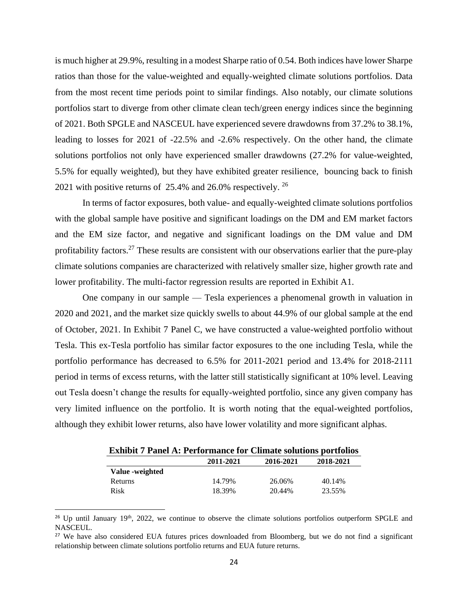is much higher at 29.9%, resulting in a modest Sharpe ratio of 0.54. Both indices have lower Sharpe ratios than those for the value-weighted and equally-weighted climate solutions portfolios. Data from the most recent time periods point to similar findings. Also notably, our climate solutions portfolios start to diverge from other climate clean tech/green energy indices since the beginning of 2021. Both SPGLE and NASCEUL have experienced severe drawdowns from 37.2% to 38.1%, leading to losses for 2021 of -22.5% and -2.6% respectively. On the other hand, the climate solutions portfolios not only have experienced smaller drawdowns (27.2% for value-weighted, 5.5% for equally weighted), but they have exhibited greater resilience, bouncing back to finish 2021 with positive returns of  $25.4\%$  and  $26.0\%$  respectively. <sup>26</sup>

In terms of factor exposures, both value- and equally-weighted climate solutions portfolios with the global sample have positive and significant loadings on the DM and EM market factors and the EM size factor, and negative and significant loadings on the DM value and DM profitability factors.<sup>27</sup> These results are consistent with our observations earlier that the pure-play climate solutions companies are characterized with relatively smaller size, higher growth rate and lower profitability. The multi-factor regression results are reported in Exhibit A1.

One company in our sample — Tesla experiences a phenomenal growth in valuation in 2020 and 2021, and the market size quickly swells to about 44.9% of our global sample at the end of October, 2021. In Exhibit 7 Panel C, we have constructed a value-weighted portfolio without Tesla. This ex-Tesla portfolio has similar factor exposures to the one including Tesla, while the portfolio performance has decreased to 6.5% for 2011-2021 period and 13.4% for 2018-2111 period in terms of excess returns, with the latter still statistically significant at 10% level. Leaving out Tesla doesn't change the results for equally-weighted portfolio, since any given company has very limited influence on the portfolio. It is worth noting that the equal-weighted portfolios, although they exhibit lower returns, also have lower volatility and more significant alphas.

| <b>EXIMPLE 7 PARTLE A: PETIOFMANCE FOR CHIMATE SOLUTIONS POPULOUS</b> |           |           |           |  |  |
|-----------------------------------------------------------------------|-----------|-----------|-----------|--|--|
|                                                                       | 2011-2021 | 2016-2021 | 2018-2021 |  |  |
| Value - weighted                                                      |           |           |           |  |  |
| Returns                                                               | 14.79%    | 26.06%    | 40.14%    |  |  |
| Risk                                                                  | 18.39%    | 20.44%    | 23.55%    |  |  |

**Exhibit 7 Panel A: Performance for Climate solutions portfolios**

<sup>&</sup>lt;sup>26</sup> Up until January  $19<sup>th</sup>$ , 2022, we continue to observe the climate solutions portfolios outperform SPGLE and NASCEUL.

<sup>&</sup>lt;sup>27</sup> We have also considered EUA futures prices downloaded from Bloomberg, but we do not find a significant relationship between climate solutions portfolio returns and EUA future returns.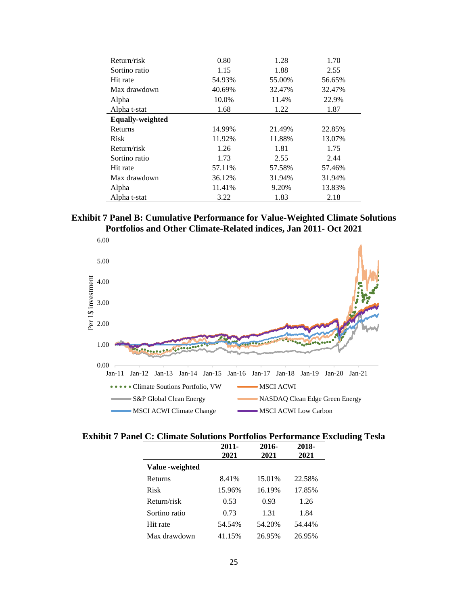| Return/risk             | 0.80   | 1.28   | 1.70   |
|-------------------------|--------|--------|--------|
| Sortino ratio           | 1.15   | 1.88   | 2.55   |
| Hit rate                | 54.93% | 55.00% | 56.65% |
| Max drawdown            | 40.69% | 32.47% | 32.47% |
| Alpha                   | 10.0%  | 11.4%  | 22.9%  |
| Alpha t-stat            | 1.68   | 1.22   | 1.87   |
| <b>Equally-weighted</b> |        |        |        |
| <b>Returns</b>          | 14.99% | 21.49% | 22.85% |
| <b>Risk</b>             | 11.92% | 11.88% | 13.07% |
| Return/risk             | 1.26   | 1.81   | 1.75   |
| Sortino ratio           | 1.73   | 2.55   | 2.44   |
| Hit rate                | 57.11% | 57.58% | 57.46% |
| Max drawdown            | 36.12% | 31.94% | 31.94% |
| Alpha                   | 11.41% | 9.20%  | 13.83% |
| Alpha t-stat            | 3.22   | 1.83   | 2.18   |

**Exhibit 7 Panel B: Cumulative Performance for Value-Weighted Climate Solutions Portfolios and Other Climate-Related indices, Jan 2011- Oct 2021**

L



**Exhibit 7 Panel C: Climate Solutions Portfolios Performance Excluding Tesla**

|                 | $2011 -$ | 2016-  | 2018-  |
|-----------------|----------|--------|--------|
|                 | 2021     | 2021   | 2021   |
| Value -weighted |          |        |        |
| Returns         | 8.41%    | 15.01% | 22.58% |
| Risk            | 15.96%   | 16.19% | 17.85% |
| Return/risk     | 0.53     | 0.93   | 1.26   |
| Sortino ratio   | 0.73     | 1.31   | 1.84   |
| Hit rate        | 54.54%   | 54.20% | 54.44% |
| Max drawdown    | 41.15%   | 26.95% | 26.95% |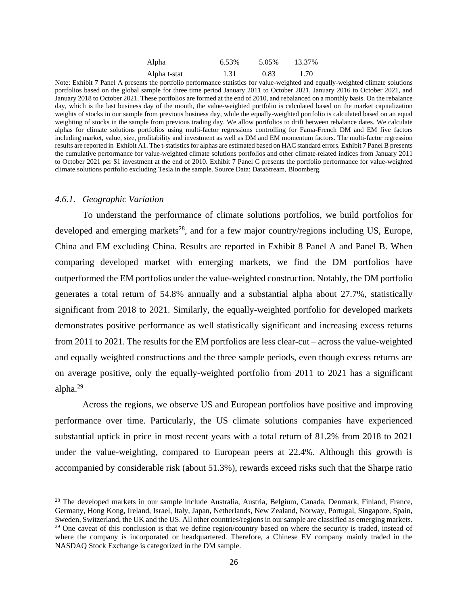| Alpha        | 6.53% | 5.05% | 13.37% |
|--------------|-------|-------|--------|
| Alpha t-stat | 1.31  | 0.83  | 1.70   |

Note: Exhibit 7 Panel A presents the portfolio performance statistics for value-weighted and equally-weighted climate solutions portfolios based on the global sample for three time period January 2011 to October 2021, January 2016 to October 2021, and January 2018 to October 2021. These portfolios are formed at the end of 2010, and rebalanced on a monthly basis. On the rebalance day, which is the last business day of the month, the value-weighted portfolio is calculated based on the market capitalization weights of stocks in our sample from previous business day, while the equally-weighted portfolio is calculated based on an equal weighting of stocks in the sample from previous trading day. We allow portfolios to drift between rebalance dates. We calculate alphas for climate solutions portfolios using multi-factor regressions controlling for Fama-French DM and EM five factors including market, value, size, profitability and investment as well as DM and EM momentum factors. The multi-factor regression results are reported in Exhibit A1. The t-statistics for alphas are estimated based on HAC standard errors. Exhibit 7 Panel B presents the cumulative performance for value-weighted climate solutions portfolios and other climate-related indices from January 2011 to October 2021 per \$1 investment at the end of 2010. Exhibit 7 Panel C presents the portfolio performance for value-weighted climate solutions portfolio excluding Tesla in the sample. Source Data: DataStream, Bloomberg.

#### *4.6.1. Geographic Variation*

To understand the performance of climate solutions portfolios, we build portfolios for developed and emerging markets<sup>28</sup>, and for a few major country/regions including US, Europe, China and EM excluding China. Results are reported in Exhibit 8 Panel A and Panel B. When comparing developed market with emerging markets, we find the DM portfolios have outperformed the EM portfolios under the value-weighted construction. Notably, the DM portfolio generates a total return of 54.8% annually and a substantial alpha about 27.7%, statistically significant from 2018 to 2021. Similarly, the equally-weighted portfolio for developed markets demonstrates positive performance as well statistically significant and increasing excess returns from 2011 to 2021. The results for the EM portfolios are less clear-cut – across the value-weighted and equally weighted constructions and the three sample periods, even though excess returns are on average positive, only the equally-weighted portfolio from 2011 to 2021 has a significant alpha. 29

Across the regions, we observe US and European portfolios have positive and improving performance over time. Particularly, the US climate solutions companies have experienced substantial uptick in price in most recent years with a total return of 81.2% from 2018 to 2021 under the value-weighting, compared to European peers at 22.4%. Although this growth is accompanied by considerable risk (about 51.3%), rewards exceed risks such that the Sharpe ratio

<sup>&</sup>lt;sup>28</sup> The developed markets in our sample include Australia, Austria, Belgium, Canada, Denmark, Finland, France, Germany, Hong Kong, Ireland, Israel, Italy, Japan, Netherlands, New Zealand, Norway, Portugal, Singapore, Spain, Sweden, Switzerland, the UK and the US. All other countries/regions in our sample are classified as emerging markets. <sup>29</sup> One caveat of this conclusion is that we define region/country based on where the security is traded, instead of where the company is incorporated or headquartered. Therefore, a Chinese EV company mainly traded in the NASDAQ Stock Exchange is categorized in the DM sample.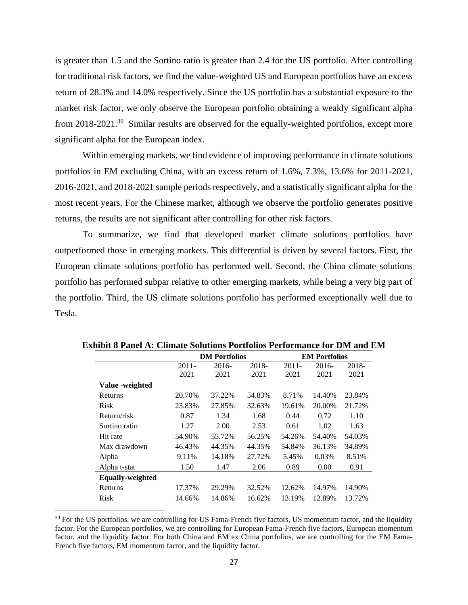is greater than 1.5 and the Sortino ratio is greater than 2.4 for the US portfolio. After controlling for traditional risk factors, we find the value-weighted US and European portfolios have an excess return of 28.3% and 14.0% respectively. Since the US portfolio has a substantial exposure to the market risk factor, we only observe the European portfolio obtaining a weakly significant alpha from 2018-2021.<sup>30</sup> Similar results are observed for the equally-weighted portfolios, except more significant alpha for the European index.

Within emerging markets, we find evidence of improving performance in climate solutions portfolios in EM excluding China, with an excess return of 1.6%, 7.3%, 13.6% for 2011-2021, 2016-2021, and 2018-2021 sample periods respectively, and a statistically significant alpha for the most recent years. For the Chinese market, although we observe the portfolio generates positive returns, the results are not significant after controlling for other risk factors.

To summarize, we find that developed market climate solutions portfolios have outperformed those in emerging markets. This differential is driven by several factors. First, the European climate solutions portfolio has performed well. Second, the China climate solutions portfolio has performed subpar relative to other emerging markets, while being a very big part of the portfolio. Third, the US climate solutions portfolio has performed exceptionally well due to Tesla.

|                         |          | <b>DM</b> Portfolios |          |          | <b>EM Portfolios</b> |          |  |  |
|-------------------------|----------|----------------------|----------|----------|----------------------|----------|--|--|
|                         | $2011 -$ | $2016-$              | $2018 -$ | $2011 -$ | $2016-$              | $2018 -$ |  |  |
|                         | 2021     | 2021                 | 2021     | 2021     | 2021                 | 2021     |  |  |
| Value -weighted         |          |                      |          |          |                      |          |  |  |
| Returns                 | 20.70%   | 37.22%               | 54.83%   | 8.71%    | 14.40%               | 23.84%   |  |  |
| <b>Risk</b>             | 23.83%   | 27.85%               | 32.63%   | 19.61%   | 20.00%               | 21.72%   |  |  |
| Return/risk             | 0.87     | 1.34                 | 1.68     | 0.44     | 0.72                 | 1.10     |  |  |
| Sortino ratio           | 1.27     | 2.00                 | 2.53     | 0.61     | 1.02                 | 1.63     |  |  |
| Hit rate                | 54.90%   | 55.72%               | 56.25%   | 54.26%   | 54.40%               | 54.03%   |  |  |
| Max drawdown            | 46.43%   | 44.35%               | 44.35%   | 54.84%   | 36.13%               | 34.89%   |  |  |
| Alpha                   | 9.11%    | 14.18%               | 27.72%   | 5.45%    | 0.03%                | 8.51%    |  |  |
| Alpha t-stat            | 1.50     | 1.47                 | 2.06     | 0.89     | 0.00                 | 0.91     |  |  |
| <b>Equally-weighted</b> |          |                      |          |          |                      |          |  |  |
| Returns                 | 17.37%   | 29.29%               | 32.52%   | 12.62%   | 14.97%               | 14.90%   |  |  |
| <b>Risk</b>             | 14.66%   | 14.86%               | 16.62%   | 13.19%   | 12.89%               | 13.72%   |  |  |

**Exhibit 8 Panel A: Climate Solutions Portfolios Performance for DM and EM**

<sup>&</sup>lt;sup>30</sup> For the US portfolios, we are controlling for US Fama-French five factors, US momentum factor, and the liquidity factor. For the European portfolios, we are controlling for European Fama-French five factors, European momentum factor, and the liquidity factor. For both China and EM ex China portfolios, we are controlling for the EM Fama-French five factors, EM momentum factor, and the liquidity factor.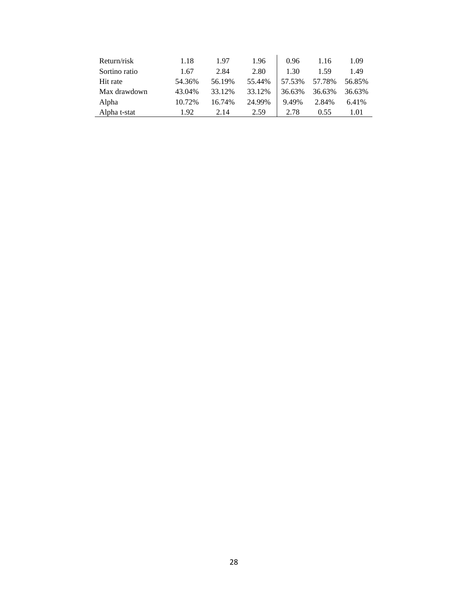| Return/risk   | 1.18   | 1.97   | 1.96   | 0.96   | 1.16   | 1.09   |
|---------------|--------|--------|--------|--------|--------|--------|
| Sortino ratio | 1.67   | 2.84   | 2.80   | 1.30   | 1.59   | 1.49   |
| Hit rate      | 54.36% | 56.19% | 55.44% | 57.53% | 57.78% | 56.85% |
| Max drawdown  | 43.04% | 33.12% | 33.12% | 36.63% | 36.63% | 36.63% |
| Alpha         | 10.72% | 16.74% | 24.99% | 9.49%  | 2.84%  | 6.41%  |
| Alpha t-stat  | 1.92   | 2.14   | 2.59   | 2.78   | 0.55   | 1.01   |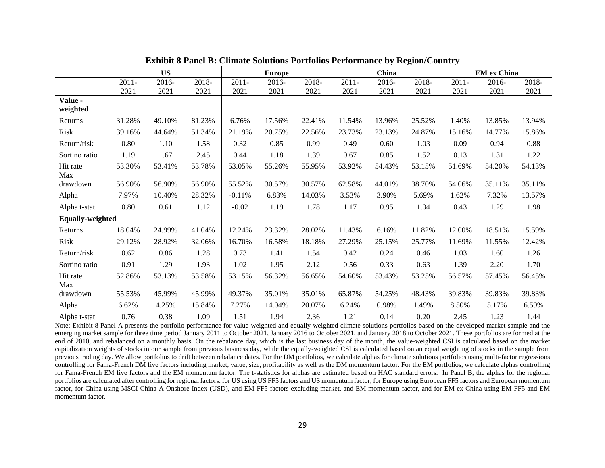|                         |          |           |        |          |               |        |          |        | ------- |          |                    |        |  |
|-------------------------|----------|-----------|--------|----------|---------------|--------|----------|--------|---------|----------|--------------------|--------|--|
|                         |          | <b>US</b> |        |          | <b>Europe</b> |        |          | China  |         |          | <b>EM</b> ex China |        |  |
|                         | $2011 -$ | 2016-     | 2018-  | $2011 -$ | 2016-         | 2018-  | $2011 -$ | 2016-  | 2018-   | $2011 -$ | 2016-              | 2018-  |  |
|                         | 2021     | 2021      | 2021   | 2021     | 2021          | 2021   | 2021     | 2021   | 2021    | 2021     | 2021               | 2021   |  |
| Value -<br>weighted     |          |           |        |          |               |        |          |        |         |          |                    |        |  |
| Returns                 | 31.28%   | 49.10%    | 81.23% | 6.76%    | 17.56%        | 22.41% | 11.54%   | 13.96% | 25.52%  | 1.40%    | 13.85%             | 13.94% |  |
| Risk                    | 39.16%   | 44.64%    | 51.34% | 21.19%   | 20.75%        | 22.56% | 23.73%   | 23.13% | 24.87%  | 15.16%   | 14.77%             | 15.86% |  |
| Return/risk             | 0.80     | 1.10      | 1.58   | 0.32     | 0.85          | 0.99   | 0.49     | 0.60   | 1.03    | 0.09     | 0.94               | 0.88   |  |
| Sortino ratio           | 1.19     | 1.67      | 2.45   | 0.44     | 1.18          | 1.39   | 0.67     | 0.85   | 1.52    | 0.13     | 1.31               | 1.22   |  |
| Hit rate<br>Max         | 53.30%   | 53.41%    | 53.78% | 53.05%   | 55.26%        | 55.95% | 53.92%   | 54.43% | 53.15%  | 51.69%   | 54.20%             | 54.13% |  |
| drawdown                | 56.90%   | 56.90%    | 56.90% | 55.52%   | 30.57%        | 30.57% | 62.58%   | 44.01% | 38.70%  | 54.06%   | 35.11%             | 35.11% |  |
| Alpha                   | 7.97%    | 10.40%    | 28.32% | $-0.11%$ | 6.83%         | 14.03% | 3.53%    | 3.90%  | 5.69%   | 1.62%    | 7.32%              | 13.57% |  |
| Alpha t-stat            | 0.80     | 0.61      | 1.12   | $-0.02$  | 1.19          | 1.78   | 1.17     | 0.95   | 1.04    | 0.43     | 1.29               | 1.98   |  |
| <b>Equally-weighted</b> |          |           |        |          |               |        |          |        |         |          |                    |        |  |
| Returns                 | 18.04%   | 24.99%    | 41.04% | 12.24%   | 23.32%        | 28.02% | 11.43%   | 6.16%  | 11.82%  | 12.00%   | 18.51%             | 15.59% |  |
| Risk                    | 29.12%   | 28.92%    | 32.06% | 16.70%   | 16.58%        | 18.18% | 27.29%   | 25.15% | 25.77%  | 11.69%   | 11.55%             | 12.42% |  |
| Return/risk             | 0.62     | 0.86      | 1.28   | 0.73     | 1.41          | 1.54   | 0.42     | 0.24   | 0.46    | 1.03     | 1.60               | 1.26   |  |
| Sortino ratio           | 0.91     | 1.29      | 1.93   | 1.02     | 1.95          | 2.12   | 0.56     | 0.33   | 0.63    | 1.39     | 2.20               | 1.70   |  |
| Hit rate<br>Max         | 52.86%   | 53.13%    | 53.58% | 53.15%   | 56.32%        | 56.65% | 54.60%   | 53.43% | 53.25%  | 56.57%   | 57.45%             | 56.45% |  |
| drawdown                | 55.53%   | 45.99%    | 45.99% | 49.37%   | 35.01%        | 35.01% | 65.87%   | 54.25% | 48.43%  | 39.83%   | 39.83%             | 39.83% |  |
| Alpha                   | 6.62%    | 4.25%     | 15.84% | 7.27%    | 14.04%        | 20.07% | 6.24%    | 0.98%  | 1.49%   | 8.50%    | 5.17%              | 6.59%  |  |
| Alpha t-stat            | 0.76     | 0.38      | 1.09   | 1.51     | 1.94          | 2.36   | 1.21     | 0.14   | 0.20    | 2.45     | 1.23               | 1.44   |  |

| <b>Exhibit 8 Panel B: Climate Solutions Portfolios Performance by Region/Country</b> |  |  |
|--------------------------------------------------------------------------------------|--|--|
|                                                                                      |  |  |

Note: Exhibit 8 Panel A presents the portfolio performance for value-weighted and equally-weighted climate solutions portfolios based on the developed market sample and the emerging market sample for three time period January 2011 to October 2021, January 2016 to October 2021, and January 2018 to October 2021. These portfolios are formed at the end of 2010, and rebalanced on a monthly basis. On the rebalance day, which is the last business day of the month, the value-weighted CSI is calculated based on the market capitalization weights of stocks in our sample from previous business day, while the equally-weighted CSI is calculated based on an equal weighting of stocks in the sample from previous trading day. We allow portfolios to drift between rebalance dates. For the DM portfolios, we calculate alphas for climate solutions portfolios using multi-factor regressions controlling for Fama-French DM five factors including market, value, size, profitability as well as the DM momentum factor. For the EM portfolios, we calculate alphas controlling for Fama-French EM five factors and the EM momentum factor. The t-statistics for alphas are estimated based on HAC standard errors. In Panel B, the alphas for the regional portfolios are calculated after controlling for regional factors: for US using US FF5 factors and US momentum factor, for Europe using European FF5 factors and European momentum factor, for China using MSCI China A Onshore Index (USD), and EM FF5 factors excluding market, and EM momentum factor, and for EM ex China using EM FF5 and EM momentum factor.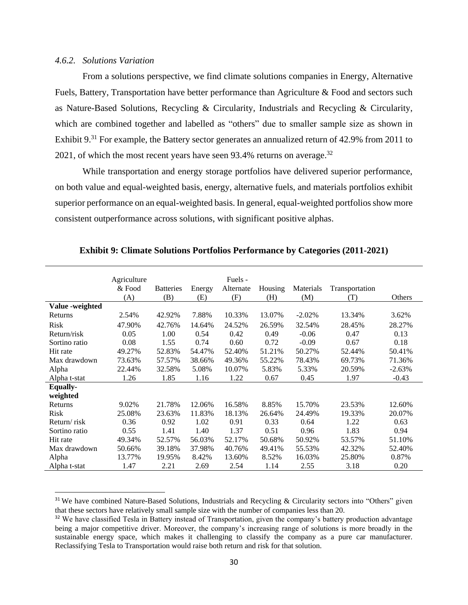#### *4.6.2. Solutions Variation*

From a solutions perspective, we find climate solutions companies in Energy, Alternative Fuels, Battery, Transportation have better performance than Agriculture & Food and sectors such as Nature-Based Solutions, Recycling & Circularity, Industrials and Recycling & Circularity, which are combined together and labelled as "others" due to smaller sample size as shown in Exhibit 9.<sup>31</sup> For example, the Battery sector generates an annualized return of 42.9% from 2011 to 2021, of which the most recent years have seen 93.4% returns on average. $32$ 

While transportation and energy storage portfolios have delivered superior performance, on both value and equal-weighted basis, energy, alternative fuels, and materials portfolios exhibit superior performance on an equal-weighted basis. In general, equal-weighted portfolios show more consistent outperformance across solutions, with significant positive alphas.

|                 | Agriculture |                  |        | Fuels -   |         |           |                |          |
|-----------------|-------------|------------------|--------|-----------|---------|-----------|----------------|----------|
|                 | & Food      | <b>Batteries</b> | Energy | Alternate | Housing | Materials | Transportation |          |
|                 | (A)         | (B)              | (E)    | (F)       | (H)     | (M)       | (T)            | Others   |
| Value -weighted |             |                  |        |           |         |           |                |          |
| Returns         | 2.54%       | 42.92%           | 7.88%  | 10.33%    | 13.07%  | $-2.02%$  | 13.34%         | 3.62%    |
| Risk            | 47.90%      | 42.76%           | 14.64% | 24.52%    | 26.59%  | 32.54%    | 28.45%         | 28.27%   |
| Return/risk     | 0.05        | 1.00             | 0.54   | 0.42      | 0.49    | $-0.06$   | 0.47           | 0.13     |
| Sortino ratio   | 0.08        | 1.55             | 0.74   | 0.60      | 0.72    | $-0.09$   | 0.67           | 0.18     |
| Hit rate        | 49.27%      | 52.83%           | 54.47% | 52.40%    | 51.21%  | 50.27%    | 52.44%         | 50.41%   |
| Max drawdown    | 73.63%      | 57.57%           | 38.66% | 49.36%    | 55.22%  | 78.43%    | 69.73%         | 71.36%   |
| Alpha           | 22.44%      | 32.58%           | 5.08%  | 10.07%    | 5.83%   | 5.33%     | 20.59%         | $-2.63%$ |
| Alpha t-stat    | 1.26        | 1.85             | 1.16   | 1.22      | 0.67    | 0.45      | 1.97           | $-0.43$  |
| <b>Equally-</b> |             |                  |        |           |         |           |                |          |
| weighted        |             |                  |        |           |         |           |                |          |
| Returns         | 9.02%       | 21.78%           | 12.06% | 16.58%    | 8.85%   | 15.70%    | 23.53%         | 12.60%   |
| Risk            | 25.08%      | 23.63%           | 11.83% | 18.13%    | 26.64%  | 24.49%    | 19.33%         | 20.07%   |
| Return/risk     | 0.36        | 0.92             | 1.02   | 0.91      | 0.33    | 0.64      | 1.22           | 0.63     |
| Sortino ratio   | 0.55        | 1.41             | 1.40   | 1.37      | 0.51    | 0.96      | 1.83           | 0.94     |
| Hit rate        | 49.34%      | 52.57%           | 56.03% | 52.17%    | 50.68%  | 50.92%    | 53.57%         | 51.10%   |
| Max drawdown    | 50.66%      | 39.18%           | 37.98% | 40.76%    | 49.41%  | 55.53%    | 42.32%         | 52.40%   |
| Alpha           | 13.77%      | 19.95%           | 8.42%  | 13.60%    | 8.52%   | 16.03%    | 25.80%         | 0.87%    |
| Alpha t-stat    | 1.47        | 2.21             | 2.69   | 2.54      | 1.14    | 2.55      | 3.18           | 0.20     |

**Exhibit 9: Climate Solutions Portfolios Performance by Categories (2011-2021)**

<sup>&</sup>lt;sup>31</sup> We have combined Nature-Based Solutions, Industrials and Recycling & Circularity sectors into "Others" given that these sectors have relatively small sample size with the number of companies less than 20.

<sup>&</sup>lt;sup>32</sup> We have classified Tesla in Battery instead of Transportation, given the company's battery production advantage being a major competitive driver. Moreover, the company's increasing range of solutions is more broadly in the sustainable energy space, which makes it challenging to classify the company as a pure car manufacturer. Reclassifying Tesla to Transportation would raise both return and risk for that solution.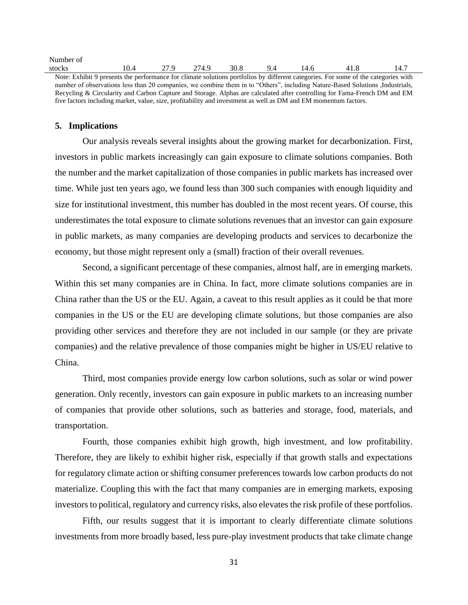| Number of                                                                                                                          |      |      |       |      |    |      |     |      |
|------------------------------------------------------------------------------------------------------------------------------------|------|------|-------|------|----|------|-----|------|
| stocks                                                                                                                             | 10.4 | 27 Q | 274.9 | 30.8 | 94 | 14.6 | 418 | 14.7 |
| Note: Exhibit 9 presents the performance for climate solutions portfolios by different categories. For some of the categories with |      |      |       |      |    |      |     |      |
| number of observations less than 20 companies, we combine them in to "Others", including Nature-Based Solutions Industrials,       |      |      |       |      |    |      |     |      |
|                                                                                                                                    |      |      |       |      |    |      |     |      |

Recycling & Circularity and Carbon Capture and Storage. Alphas are calculated after controlling for Fama-French DM and EM five factors including market, value, size, profitability and investment as well as DM and EM momentum factors.

#### **5. Implications**

Our analysis reveals several insights about the growing market for decarbonization. First, investors in public markets increasingly can gain exposure to climate solutions companies. Both the number and the market capitalization of those companies in public markets has increased over time. While just ten years ago, we found less than 300 such companies with enough liquidity and size for institutional investment, this number has doubled in the most recent years. Of course, this underestimates the total exposure to climate solutions revenues that an investor can gain exposure in public markets, as many companies are developing products and services to decarbonize the economy, but those might represent only a (small) fraction of their overall revenues.

Second, a significant percentage of these companies, almost half, are in emerging markets. Within this set many companies are in China. In fact, more climate solutions companies are in China rather than the US or the EU. Again, a caveat to this result applies as it could be that more companies in the US or the EU are developing climate solutions, but those companies are also providing other services and therefore they are not included in our sample (or they are private companies) and the relative prevalence of those companies might be higher in US/EU relative to China.

Third, most companies provide energy low carbon solutions, such as solar or wind power generation. Only recently, investors can gain exposure in public markets to an increasing number of companies that provide other solutions, such as batteries and storage, food, materials, and transportation.

Fourth, those companies exhibit high growth, high investment, and low profitability. Therefore, they are likely to exhibit higher risk, especially if that growth stalls and expectations for regulatory climate action or shifting consumer preferences towards low carbon products do not materialize. Coupling this with the fact that many companies are in emerging markets, exposing investors to political, regulatory and currency risks, also elevates the risk profile of these portfolios.

Fifth, our results suggest that it is important to clearly differentiate climate solutions investments from more broadly based, less pure-play investment products that take climate change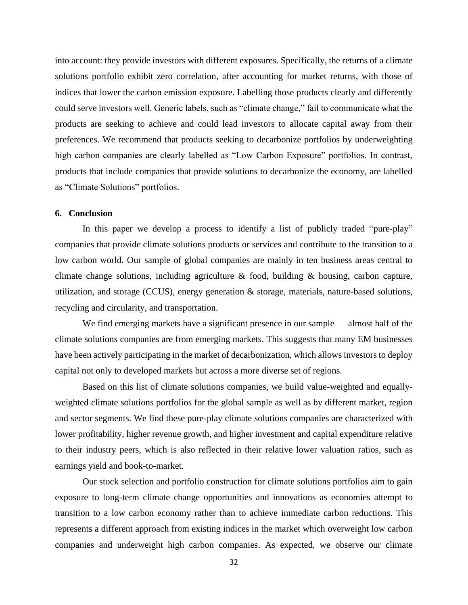into account: they provide investors with different exposures. Specifically, the returns of a climate solutions portfolio exhibit zero correlation, after accounting for market returns, with those of indices that lower the carbon emission exposure. Labelling those products clearly and differently could serve investors well. Generic labels, such as "climate change," fail to communicate what the products are seeking to achieve and could lead investors to allocate capital away from their preferences. We recommend that products seeking to decarbonize portfolios by underweighting high carbon companies are clearly labelled as "Low Carbon Exposure" portfolios. In contrast, products that include companies that provide solutions to decarbonize the economy, are labelled as "Climate Solutions" portfolios.

#### **6. Conclusion**

In this paper we develop a process to identify a list of publicly traded "pure-play" companies that provide climate solutions products or services and contribute to the transition to a low carbon world. Our sample of global companies are mainly in ten business areas central to climate change solutions, including agriculture & food, building & housing, carbon capture, utilization, and storage (CCUS), energy generation & storage, materials, nature-based solutions, recycling and circularity, and transportation.

We find emerging markets have a significant presence in our sample — almost half of the climate solutions companies are from emerging markets. This suggests that many EM businesses have been actively participating in the market of decarbonization, which allows investors to deploy capital not only to developed markets but across a more diverse set of regions.

Based on this list of climate solutions companies, we build value-weighted and equallyweighted climate solutions portfolios for the global sample as well as by different market, region and sector segments. We find these pure-play climate solutions companies are characterized with lower profitability, higher revenue growth, and higher investment and capital expenditure relative to their industry peers, which is also reflected in their relative lower valuation ratios, such as earnings yield and book-to-market.

Our stock selection and portfolio construction for climate solutions portfolios aim to gain exposure to long-term climate change opportunities and innovations as economies attempt to transition to a low carbon economy rather than to achieve immediate carbon reductions. This represents a different approach from existing indices in the market which overweight low carbon companies and underweight high carbon companies. As expected, we observe our climate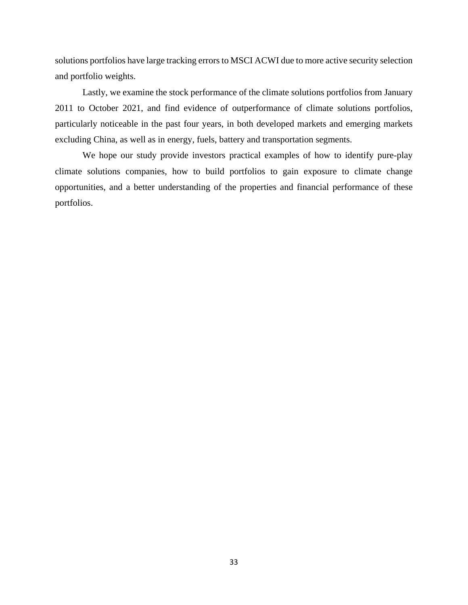solutions portfolios have large tracking errors to MSCI ACWI due to more active security selection and portfolio weights.

Lastly, we examine the stock performance of the climate solutions portfolios from January 2011 to October 2021, and find evidence of outperformance of climate solutions portfolios, particularly noticeable in the past four years, in both developed markets and emerging markets excluding China, as well as in energy, fuels, battery and transportation segments.

We hope our study provide investors practical examples of how to identify pure-play climate solutions companies, how to build portfolios to gain exposure to climate change opportunities, and a better understanding of the properties and financial performance of these portfolios.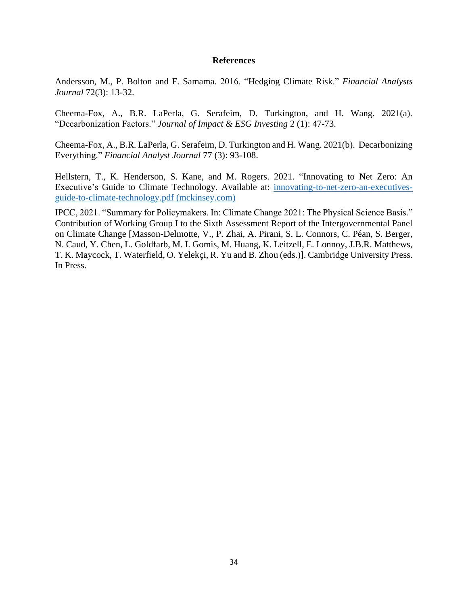#### **References**

Andersson, M., P. Bolton and F. Samama. 2016. "Hedging Climate Risk." *Financial Analysts Journal* 72(3): 13-32.

Cheema-Fox, A., B.R. LaPerla, G. Serafeim, D. Turkington, and H. Wang. 2021(a). "Decarbonization Factors." *Journal of Impact & ESG Investing* 2 (1): 47-73.

Cheema-Fox, A., B.R. LaPerla, G. Serafeim, D. Turkington and H. Wang. 2021(b). Decarbonizing Everything." *Financial Analyst Journal* 77 (3): 93-108.

Hellstern, T., K. Henderson, S. Kane, and M. Rogers. 2021. "Innovating to Net Zero: An Executive's Guide to Climate Technology. Available at: [innovating-to-net-zero-an-executives](https://www.mckinsey.com/~/media/mckinsey/business%20functions/sustainability/our%20insights/innovating%20to%20net%20zero%20an%20executives%20guide%20to%20climate%20technology/innovating-to-net-zero-an-executives-guide-to-climate-technology.pdf?shouldIndex=false)[guide-to-climate-technology.pdf \(mckinsey.com\)](https://www.mckinsey.com/~/media/mckinsey/business%20functions/sustainability/our%20insights/innovating%20to%20net%20zero%20an%20executives%20guide%20to%20climate%20technology/innovating-to-net-zero-an-executives-guide-to-climate-technology.pdf?shouldIndex=false)

IPCC, 2021. "Summary for Policymakers. In: Climate Change 2021: The Physical Science Basis." Contribution of Working Group I to the Sixth Assessment Report of the Intergovernmental Panel on Climate Change [Masson-Delmotte, V., P. Zhai, A. Pirani, S. L. Connors, C. Péan, S. Berger, N. Caud, Y. Chen, L. Goldfarb, M. I. Gomis, M. Huang, K. Leitzell, E. Lonnoy, J.B.R. Matthews, T. K. Maycock, T. Waterfield, O. Yelekçi, R. Yu and B. Zhou (eds.)]. Cambridge University Press. In Press.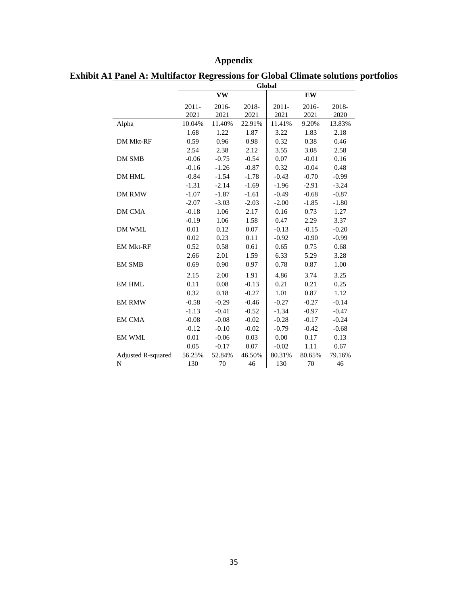## **Appendix**

|                    | Global           |               |               |                  |               |               |  |  |
|--------------------|------------------|---------------|---------------|------------------|---------------|---------------|--|--|
|                    |                  | <b>VW</b>     |               |                  | EW            |               |  |  |
|                    | $2011 -$<br>2021 | 2016-<br>2021 | 2018-<br>2021 | $2011 -$<br>2021 | 2016-<br>2021 | 2018-<br>2020 |  |  |
| Alpha              | 10.04%           | 11.40%        | 22.91%        | 11.41%           | 9.20%         | 13.83%        |  |  |
|                    | 1.68             | 1.22          | 1.87          | 3.22             | 1.83          | 2.18          |  |  |
| <b>DM Mkt-RF</b>   | 0.59             | 0.96          | 0.98          | 0.32             | 0.38          | 0.46          |  |  |
|                    | 2.54             | 2.38          | 2.12          | 3.55             | 3.08          | 2.58          |  |  |
| <b>DM SMB</b>      | $-0.06$          | $-0.75$       | $-0.54$       | 0.07             | $-0.01$       | 0.16          |  |  |
|                    | $-0.16$          | $-1.26$       | $-0.87$       | 0.32             | $-0.04$       | 0.48          |  |  |
| DM HML             | $-0.84$          | $-1.54$       | $-1.78$       | $-0.43$          | $-0.70$       | $-0.99$       |  |  |
|                    | $-1.31$          | $-2.14$       | $-1.69$       | $-1.96$          | $-2.91$       | $-3.24$       |  |  |
| <b>DM RMW</b>      | $-1.07$          | $-1.87$       | $-1.61$       | $-0.49$          | $-0.68$       | $-0.87$       |  |  |
|                    | $-2.07$          | $-3.03$       | $-2.03$       | $-2.00$          | $-1.85$       | $-1.80$       |  |  |
| <b>DM CMA</b>      | $-0.18$          | 1.06          | 2.17          | 0.16             | 0.73          | 1.27          |  |  |
|                    | $-0.19$          | 1.06          | 1.58          | 0.47             | 2.29          | 3.37          |  |  |
| DM WML             | 0.01             | 0.12          | 0.07          | $-0.13$          | $-0.15$       | $-0.20$       |  |  |
|                    | 0.02             | 0.23          | 0.11          | $-0.92$          | $-0.90$       | $-0.99$       |  |  |
| <b>EM Mkt-RF</b>   | 0.52             | 0.58          | 0.61          | 0.65             | 0.75          | 0.68          |  |  |
|                    | 2.66             | 2.01          | 1.59          | 6.33             | 5.29          | 3.28          |  |  |
| <b>EM SMB</b>      | 0.69             | 0.90          | 0.97          | 0.78             | 0.87          | 1.00          |  |  |
|                    | 2.15             | 2.00          | 1.91          | 4.86             | 3.74          | 3.25          |  |  |
| <b>EM HML</b>      | 0.11             | 0.08          | $-0.13$       | 0.21             | 0.21          | 0.25          |  |  |
|                    | 0.32             | 0.18          | $-0.27$       | 1.01             | 0.87          | 1.12          |  |  |
| <b>EM RMW</b>      | $-0.58$          | $-0.29$       | $-0.46$       | $-0.27$          | $-0.27$       | $-0.14$       |  |  |
|                    | $-1.13$          | $-0.41$       | $-0.52$       | $-1.34$          | $-0.97$       | $-0.47$       |  |  |
| <b>EM CMA</b>      | $-0.08$          | $-0.08$       | $-0.02$       | $-0.28$          | $-0.17$       | $-0.24$       |  |  |
|                    | $-0.12$          | $-0.10$       | $-0.02$       | $-0.79$          | $-0.42$       | $-0.68$       |  |  |
| <b>EM WML</b>      | 0.01             | $-0.06$       | 0.03          | 0.00             | 0.17          | 0.13          |  |  |
|                    | 0.05             | $-0.17$       | 0.07          | $-0.02$          | 1.11          | 0.67          |  |  |
| Adjusted R-squared | 56.25%           | 52.84%        | 46.50%        | 80.31%           | 80.65%        | 79.16%        |  |  |
| N                  | 130              | 70            | 46            | 130              | 70            | 46            |  |  |

**Exhibit A1 Panel A: Multifactor Regressions for Global Climate solutions portfolios**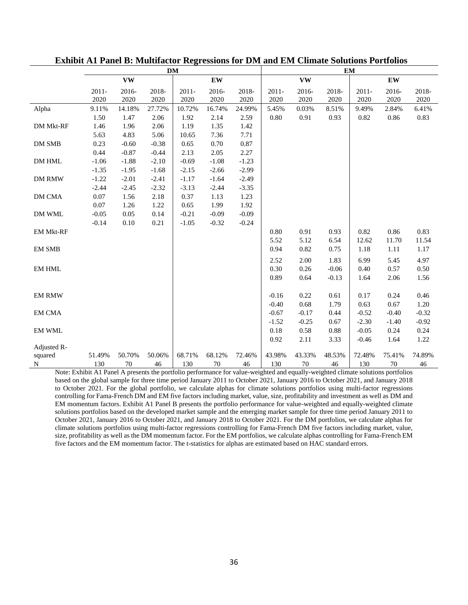|                  |                  |               |               | <b>DM</b>        |               |               | <b>EM</b>        |               |               |                  |               |               |
|------------------|------------------|---------------|---------------|------------------|---------------|---------------|------------------|---------------|---------------|------------------|---------------|---------------|
|                  |                  | <b>VW</b>     |               |                  | EW            |               |                  | <b>VW</b>     |               |                  | <b>EW</b>     |               |
|                  | $2011 -$<br>2020 | 2016-<br>2020 | 2018-<br>2020 | $2011 -$<br>2020 | 2016-<br>2020 | 2018-<br>2020 | $2011 -$<br>2020 | 2016-<br>2020 | 2018-<br>2020 | $2011 -$<br>2020 | 2016-<br>2020 | 2018-<br>2020 |
| Alpha            | 9.11%            | 14.18%        | 27.72%        | 10.72%           | 16.74%        | 24.99%        | 5.45%            | 0.03%         | 8.51%         | 9.49%            | 2.84%         | 6.41%         |
|                  | 1.50             | 1.47          | 2.06          | 1.92             | 2.14          | 2.59          | 0.80             | 0.91          | 0.93          | 0.82             | 0.86          | 0.83          |
| DM Mkt-RF        | 1.46             | 1.96          | 2.06          | 1.19             | 1.35          | 1.42          |                  |               |               |                  |               |               |
|                  | 5.63             | 4.83          | 5.06          | 10.65            | 7.36          | 7.71          |                  |               |               |                  |               |               |
| DM SMB           | 0.23             | $-0.60$       | $-0.38$       | 0.65             | 0.70          | 0.87          |                  |               |               |                  |               |               |
|                  | 0.44             | $-0.87$       | $-0.44$       | 2.13             | 2.05          | 2.27          |                  |               |               |                  |               |               |
| DM HML           | $-1.06$          | $-1.88$       | $-2.10$       | $-0.69$          | $-1.08$       | $-1.23$       |                  |               |               |                  |               |               |
|                  | $-1.35$          | $-1.95$       | $-1.68$       | $-2.15$          | $-2.66$       | $-2.99$       |                  |               |               |                  |               |               |
| <b>DM RMW</b>    | $-1.22$          | $-2.01$       | $-2.41$       | $-1.17$          | $-1.64$       | $-2.49$       |                  |               |               |                  |               |               |
|                  | $-2.44$          | $-2.45$       | $-2.32$       | $-3.13$          | $-2.44$       | $-3.35$       |                  |               |               |                  |               |               |
| DM CMA           | 0.07             | 1.56          | 2.18          | 0.37             | 1.13          | 1.23          |                  |               |               |                  |               |               |
|                  | 0.07             | 1.26          | 1.22          | 0.65             | 1.99          | 1.92          |                  |               |               |                  |               |               |
| DM WML           | $-0.05$          | 0.05          | 0.14          | $-0.21$          | $-0.09$       | $-0.09$       |                  |               |               |                  |               |               |
|                  | $-0.14$          | 0.10          | 0.21          | $-1.05$          | $-0.32$       | $-0.24$       |                  |               |               |                  |               |               |
| <b>EM Mkt-RF</b> |                  |               |               |                  |               |               | 0.80             | 0.91          | 0.93          | 0.82             | 0.86          | 0.83          |
|                  |                  |               |               |                  |               |               | 5.52             | 5.12          | 6.54          | 12.62            | 11.70         | 11.54         |
| <b>EM SMB</b>    |                  |               |               |                  |               |               | 0.94             | 0.82          | 0.75          | 1.18             | 1.11          | 1.17          |
|                  |                  |               |               |                  |               |               | 2.52             | 2.00          | 1.83          | 6.99             | 5.45          | 4.97          |
| <b>EM HML</b>    |                  |               |               |                  |               |               | 0.30             | 0.26          | $-0.06$       | 0.40             | 0.57          | 0.50          |
|                  |                  |               |               |                  |               |               | 0.89             | 0.64          | $-0.13$       | 1.64             | 2.06          | 1.56          |
|                  |                  |               |               |                  |               |               |                  |               |               |                  |               |               |
| <b>EM RMW</b>    |                  |               |               |                  |               |               | $-0.16$          | 0.22          | 0.61          | 0.17             | 0.24          | 0.46          |
|                  |                  |               |               |                  |               |               | $-0.40$          | 0.68          | 1.79          | 0.63             | 0.67          | 1.20          |
| <b>EM CMA</b>    |                  |               |               |                  |               |               | $-0.67$          | $-0.17$       | 0.44          | $-0.52$          | $-0.40$       | $-0.32$       |
|                  |                  |               |               |                  |               |               | $-1.52$          | $-0.25$       | 0.67          | $-2.30$          | $-1.40$       | $-0.92$       |
| <b>EM WML</b>    |                  |               |               |                  |               |               | 0.18             | 0.58          | 0.88          | $-0.05$          | 0.24          | 0.24          |
|                  |                  |               |               |                  |               |               | 0.92             | 2.11          | 3.33          | $-0.46$          | 1.64          | 1.22          |
| Adjusted R-      |                  |               |               |                  |               |               |                  |               |               |                  |               |               |
| squared          | 51.49%           | 50.70%        | 50.06%        | 68.71%           | 68.12%        | 72.46%        | 43.98%           | 43.33%        | 48.53%        | 72.48%           | 75.41%        | 74.89%        |
| N                | 130              | 70            | 46            | 130              | 70            | 46            | 130              | 70            | 46            | 130              | 70            | 46            |

#### **Exhibit A1 Panel B: Multifactor Regressions for DM and EM Climate Solutions Portfolios**

Note: Exhibit A1 Panel A presents the portfolio performance for value-weighted and equally-weighted climate solutions portfolios based on the global sample for three time period January 2011 to October 2021, January 2016 to October 2021, and January 2018 to October 2021. For the global portfolio, we calculate alphas for climate solutions portfolios using multi-factor regressions controlling for Fama-French DM and EM five factors including market, value, size, profitability and investment as well as DM and EM momentum factors. Exhibit A1 Panel B presents the portfolio performance for value-weighted and equally-weighted climate solutions portfolios based on the developed market sample and the emerging market sample for three time period January 2011 to October 2021, January 2016 to October 2021, and January 2018 to October 2021. For the DM portfolios, we calculate alphas for climate solutions portfolios using multi-factor regressions controlling for Fama-French DM five factors including market, value, size, profitability as well as the DM momentum factor. For the EM portfolios, we calculate alphas controlling for Fama-French EM five factors and the EM momentum factor. The t-statistics for alphas are estimated based on HAC standard errors.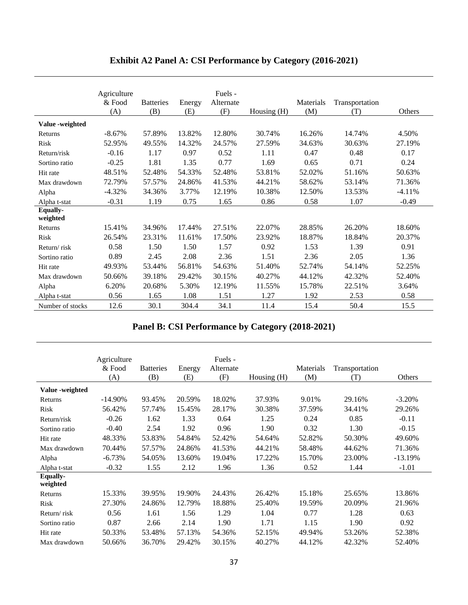|                             | Agriculture<br>& Food<br>(A) | <b>Batteries</b><br>(B) | Energy<br>(E) | Fuels -<br>Alternate<br>(F) | Housing (H) | Materials<br>(M) | Transportation<br>(T) | Others   |
|-----------------------------|------------------------------|-------------------------|---------------|-----------------------------|-------------|------------------|-----------------------|----------|
| Value -weighted             |                              |                         |               |                             |             |                  |                       |          |
| Returns                     | $-8.67%$                     | 57.89%                  | 13.82%        | 12.80%                      | 30.74%      | 16.26%           | 14.74%                | 4.50%    |
| Risk                        | 52.95%                       | 49.55%                  | 14.32%        | 24.57%                      | 27.59%      | 34.63%           | 30.63%                | 27.19%   |
| Return/risk                 | $-0.16$                      | 1.17                    | 0.97          | 0.52                        | 1.11        | 0.47             | 0.48                  | 0.17     |
| Sortino ratio               | $-0.25$                      | 1.81                    | 1.35          | 0.77                        | 1.69        | 0.65             | 0.71                  | 0.24     |
| Hit rate                    | 48.51%                       | 52.48%                  | 54.33%        | 52.48%                      | 53.81%      | 52.02%           | 51.16%                | 50.63%   |
| Max drawdown                | 72.79%                       | 57.57%                  | 24.86%        | 41.53%                      | 44.21%      | 58.62%           | 53.14%                | 71.36%   |
| Alpha                       | $-4.32%$                     | 34.36%                  | 3.77%         | 12.19%                      | 10.38%      | 12.50%           | 13.53%                | $-4.11%$ |
| Alpha t-stat                | $-0.31$                      | 1.19                    | 0.75          | 1.65                        | 0.86        | 0.58             | 1.07                  | $-0.49$  |
| <b>Equally-</b><br>weighted |                              |                         |               |                             |             |                  |                       |          |
| Returns                     | 15.41%                       | 34.96%                  | 17.44%        | 27.51%                      | 22.07%      | 28.85%           | 26.20%                | 18.60%   |
| Risk                        | 26.54%                       | 23.31%                  | 11.61%        | 17.50%                      | 23.92%      | 18.87%           | 18.84%                | 20.37%   |
| Return/risk                 | 0.58                         | 1.50                    | 1.50          | 1.57                        | 0.92        | 1.53             | 1.39                  | 0.91     |
| Sortino ratio               | 0.89                         | 2.45                    | 2.08          | 2.36                        | 1.51        | 2.36             | 2.05                  | 1.36     |
| Hit rate                    | 49.93%                       | 53.44%                  | 56.81%        | 54.63%                      | 51.40%      | 52.74%           | 54.14%                | 52.25%   |
| Max drawdown                | 50.66%                       | 39.18%                  | 29.42%        | 30.15%                      | 40.27%      | 44.12%           | 42.32%                | 52.40%   |
| Alpha                       | 6.20%                        | 20.68%                  | 5.30%         | 12.19%                      | 11.55%      | 15.78%           | 22.51%                | 3.64%    |
| Alpha t-stat                | 0.56                         | 1.65                    | 1.08          | 1.51                        | 1.27        | 1.92             | 2.53                  | 0.58     |
| Number of stocks            | 12.6                         | 30.1                    | 304.4         | 34.1                        | 11.4        | 15.4             | 50.4                  | 15.5     |

## **Exhibit A2 Panel A: CSI Performance by Category (2016-2021)**

## **Panel B: CSI Performance by Category (2018-2021)**

|                      | Agriculture<br>& Food<br>(A) | <b>Batteries</b><br>(B) | Energy<br>(E) | Fuels -<br>Alternate<br>(F) | Housing $(H)$ | Materials<br>(M) | Transportation<br>(T) | Others    |
|----------------------|------------------------------|-------------------------|---------------|-----------------------------|---------------|------------------|-----------------------|-----------|
| Value -weighted      |                              |                         |               |                             |               |                  |                       |           |
| Returns              | $-14.90\%$                   | 93.45%                  | 20.59%        | 18.02%                      | 37.93%        | 9.01%            | 29.16%                | $-3.20%$  |
| <b>Risk</b>          | 56.42%                       | 57.74%                  | 15.45%        | 28.17%                      | 30.38%        | 37.59%           | 34.41%                | 29.26%    |
| Return/risk          | $-0.26$                      | 1.62                    | 1.33          | 0.64                        | 1.25          | 0.24             | 0.85                  | $-0.11$   |
| Sortino ratio        | $-0.40$                      | 2.54                    | 1.92          | 0.96                        | 1.90          | 0.32             | 1.30                  | $-0.15$   |
| Hit rate             | 48.33%                       | 53.83%                  | 54.84%        | 52.42%                      | 54.64%        | 52.82%           | 50.30%                | 49.60%    |
| Max drawdown         | 70.44%                       | 57.57%                  | 24.86%        | 41.53%                      | 44.21%        | 58.48%           | 44.62%                | 71.36%    |
| Alpha                | $-6.73%$                     | 54.05%                  | 13.60%        | 19.04%                      | 17.22%        | 15.70%           | 23.00%                | $-13.19%$ |
| Alpha t-stat         | $-0.32$                      | 1.55                    | 2.12          | 1.96                        | 1.36          | 0.52             | 1.44                  | $-1.01$   |
| Equally-<br>weighted |                              |                         |               |                             |               |                  |                       |           |
| Returns              | 15.33%                       | 39.95%                  | 19.90%        | 24.43%                      | 26.42%        | 15.18%           | 25.65%                | 13.86%    |
| Risk                 | 27.30%                       | 24.86%                  | 12.79%        | 18.88%                      | 25.40%        | 19.59%           | 20.09%                | 21.96%    |
| Return/risk          | 0.56                         | 1.61                    | 1.56          | 1.29                        | 1.04          | 0.77             | 1.28                  | 0.63      |
| Sortino ratio        | 0.87                         | 2.66                    | 2.14          | 1.90                        | 1.71          | 1.15             | 1.90                  | 0.92      |
| Hit rate             | 50.33%                       | 53.48%                  | 57.13%        | 54.36%                      | 52.15%        | 49.94%           | 53.26%                | 52.38%    |
| Max drawdown         | 50.66%                       | 36.70%                  | 29.42%        | 30.15%                      | 40.27%        | 44.12%           | 42.32%                | 52.40%    |